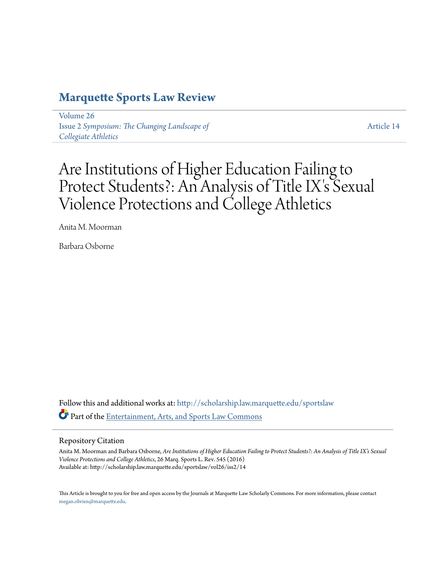## **[Marquette Sports Law Review](http://scholarship.law.marquette.edu/sportslaw?utm_source=scholarship.law.marquette.edu%2Fsportslaw%2Fvol26%2Fiss2%2F14&utm_medium=PDF&utm_campaign=PDFCoverPages)**

[Volume 26](http://scholarship.law.marquette.edu/sportslaw/vol26?utm_source=scholarship.law.marquette.edu%2Fsportslaw%2Fvol26%2Fiss2%2F14&utm_medium=PDF&utm_campaign=PDFCoverPages) Issue 2 *[Symposium: The Changing Landscape of](http://scholarship.law.marquette.edu/sportslaw/vol26/iss2?utm_source=scholarship.law.marquette.edu%2Fsportslaw%2Fvol26%2Fiss2%2F14&utm_medium=PDF&utm_campaign=PDFCoverPages) [Collegiate Athletics](http://scholarship.law.marquette.edu/sportslaw/vol26/iss2?utm_source=scholarship.law.marquette.edu%2Fsportslaw%2Fvol26%2Fiss2%2F14&utm_medium=PDF&utm_campaign=PDFCoverPages)*

[Article 14](http://scholarship.law.marquette.edu/sportslaw/vol26/iss2/14?utm_source=scholarship.law.marquette.edu%2Fsportslaw%2Fvol26%2Fiss2%2F14&utm_medium=PDF&utm_campaign=PDFCoverPages)

# Are Institutions of Higher Education Failing to Protect Students?: An Analysis of Title IX's Sexual Violence Protections and College Athletics

Anita M. Moorman

Barbara Osborne

Follow this and additional works at: [http://scholarship.law.marquette.edu/sportslaw](http://scholarship.law.marquette.edu/sportslaw?utm_source=scholarship.law.marquette.edu%2Fsportslaw%2Fvol26%2Fiss2%2F14&utm_medium=PDF&utm_campaign=PDFCoverPages) Part of the [Entertainment, Arts, and Sports Law Commons](http://network.bepress.com/hgg/discipline/893?utm_source=scholarship.law.marquette.edu%2Fsportslaw%2Fvol26%2Fiss2%2F14&utm_medium=PDF&utm_campaign=PDFCoverPages)

#### Repository Citation

Anita M. Moorman and Barbara Osborne, *Are Institutions of Higher Education Failing to Protect Students?: An Analysis of Title IX's Sexual Violence Protections and College Athletics*, 26 Marq. Sports L. Rev. 545 (2016) Available at: http://scholarship.law.marquette.edu/sportslaw/vol26/iss2/14

This Article is brought to you for free and open access by the Journals at Marquette Law Scholarly Commons. For more information, please contact [megan.obrien@marquette.edu.](mailto:megan.obrien@marquette.edu)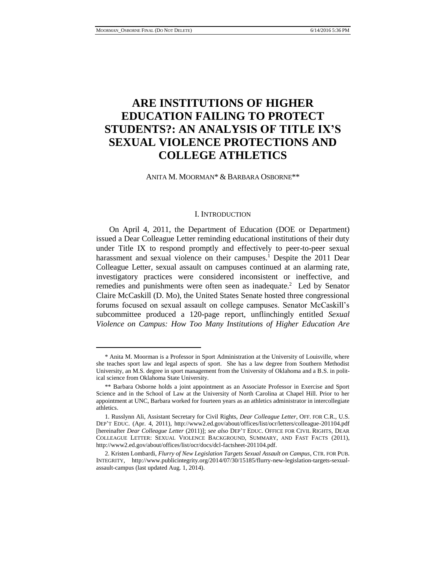## **ARE INSTITUTIONS OF HIGHER EDUCATION FAILING TO PROTECT STUDENTS?: AN ANALYSIS OF TITLE IX'S SEXUAL VIOLENCE PROTECTIONS AND COLLEGE ATHLETICS**

ANITA M. MOORMAN\* & BARBARA OSBORNE\*\*

#### I. INTRODUCTION

On April 4, 2011, the Department of Education (DOE or Department) issued a Dear Colleague Letter reminding educational institutions of their duty under Title IX to respond promptly and effectively to peer-to-peer sexual harassment and sexual violence on their campuses.<sup>1</sup> Despite the 2011 Dear Colleague Letter, sexual assault on campuses continued at an alarming rate, investigatory practices were considered inconsistent or ineffective, and remedies and punishments were often seen as inadequate.<sup>2</sup> Led by Senator Claire McCaskill (D. Mo), the United States Senate hosted three congressional forums focused on sexual assault on college campuses. Senator McCaskill's subcommittee produced a 120-page report, unflinchingly entitled *Sexual Violence on Campus: How Too Many Institutions of Higher Education Are* 

<sup>\*</sup> Anita M. Moorman is a Professor in Sport Administration at the University of Louisville, where she teaches sport law and legal aspects of sport. She has a law degree from Southern Methodist University, an M.S. degree in sport management from the University of Oklahoma and a B.S. in political science from Oklahoma State University.

<sup>\*\*</sup> Barbara Osborne holds a joint appointment as an Associate Professor in Exercise and Sport Science and in the School of Law at the University of North Carolina at Chapel Hill. Prior to her appointment at UNC, Barbara worked for fourteen years as an athletics administrator in intercollegiate athletics.

<sup>1.</sup> Russlynn Ali, Assistant Secretary for Civil Rights, *Dear Colleague Letter*, OFF. FOR C.R., U.S. DEP'T EDUC. (Apr. 4, 2011), http://www2.ed.gov/about/offices/list/ocr/letters/colleague-201104.pdf [hereinafter *Dear Colleague Letter* (2011)]; *see also* DEP'T EDUC. OFFICE FOR CIVIL RIGHTS, DEAR COLLEAGUE LETTER: SEXUAL VIOLENCE BACKGROUND, SUMMARY, AND FAST FACTS (2011), http://www2.ed.gov/about/offices/list/ocr/docs/dcl-factsheet-201104.pdf.

<sup>2.</sup> Kristen Lombardi, *Flurry of New Legislation Targets Sexual Assault on Campus*, CTR. FOR PUB. INTEGRITY, http://www.publicintegrity.org/2014/07/30/15185/flurry-new-legislation-targets-sexualassault-campus (last updated Aug. 1, 2014).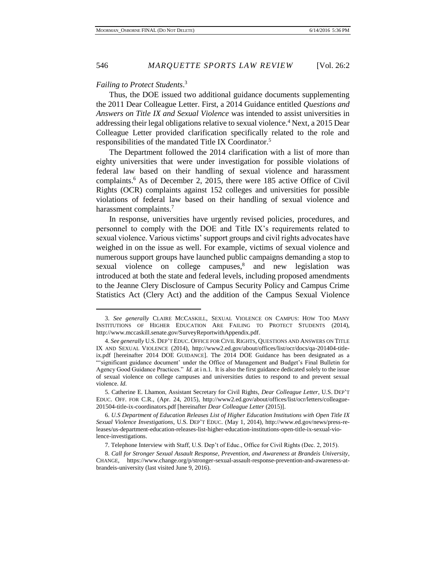#### *Failing to Protect Students*. 3

Thus, the DOE issued two additional guidance documents supplementing the 2011 Dear Colleague Letter. First, a 2014 Guidance entitled *Questions and Answers on Title IX and Sexual Violence* was intended to assist universities in addressing their legal obligations relative to sexual violence.<sup>4</sup> Next, a 2015 Dear Colleague Letter provided clarification specifically related to the role and responsibilities of the mandated Title IX Coordinator.<sup>5</sup>

The Department followed the 2014 clarification with a list of more than eighty universities that were under investigation for possible violations of federal law based on their handling of sexual violence and harassment complaints. <sup>6</sup> As of December 2, 2015, there were 185 active Office of Civil Rights (OCR) complaints against 152 colleges and universities for possible violations of federal law based on their handling of sexual violence and harassment complaints.<sup>7</sup>

In response, universities have urgently revised policies, procedures, and personnel to comply with the DOE and Title IX's requirements related to sexual violence. Various victims' support groups and civil rights advocates have weighed in on the issue as well. For example, victims of sexual violence and numerous support groups have launched public campaigns demanding a stop to sexual violence on college campuses,<sup>8</sup> and new legislation was introduced at both the state and federal levels, including proposed amendments to the Jeanne Clery Disclosure of Campus Security Policy and Campus Crime Statistics Act (Clery Act) and the addition of the Campus Sexual Violence

<sup>3.</sup> *See generally* CLAIRE MCCASKILL, SEXUAL VIOLENCE ON CAMPUS: HOW TOO MANY INSTITUTIONS OF HIGHER EDUCATION ARE FAILING TO PROTECT STUDENTS (2014), http://www.mccaskill.senate.gov/SurveyReportwithAppendix.pdf.

<sup>4.</sup> *See generally* U.S. DEP'T EDUC. OFFICE FOR CIVIL RIGHTS, QUESTIONS AND ANSWERS ON TITLE IX AND SEXUAL VIOLENCE (2014), http://www2.ed.gov/about/offices/list/ocr/docs/qa-201404-titleix.pdf [hereinafter 2014 DOE GUIDANCE]. The 2014 DOE Guidance has been designated as a "'significant guidance document' under the Office of Management and Budget's Final Bulletin for Agency Good Guidance Practices." *Id.* at i n.1. It is also the first guidance dedicated solely to the issue of sexual violence on college campuses and universities duties to respond to and prevent sexual violence. *Id.* 

<sup>5.</sup> Catherine E. Lhamon, Assistant Secretary for Civil Rights, *Dear Colleague Letter*, U.S. DEP'T EDUC. OFF. FOR C.R., (Apr. 24, 2015), http://www2.ed.gov/about/offices/list/ocr/letters/colleague-201504-title-ix-coordinators.pdf [hereinafter *Dear Colleague Letter* (2015)].

<sup>6.</sup> *U.S Department of Education Releases List of Higher Education Institutions with Open Title IX Sexual Violence Investigations*, U.S. DEP'T EDUC. (May 1, 2014), http://www.ed.gov/news/press-releases/us-department-education-releases-list-higher-education-institutions-open-title-ix-sexual-violence-investigations.

<sup>7.</sup> Telephone Interview with Staff, U.S. Dep't of Educ., Office for Civil Rights (Dec. 2, 2015).

<sup>8.</sup> *Call for Stronger Sexual Assault Response, Prevention, and Awareness at Brandeis University*, CHANGE, https://www.change.org/p/stronger-sexual-assault-response-prevention-and-awareness-atbrandeis-university (last visited June 9, 2016).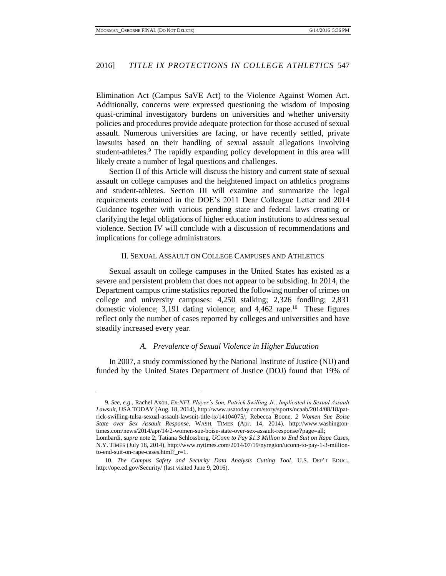Elimination Act (Campus SaVE Act) to the Violence Against Women Act. Additionally, concerns were expressed questioning the wisdom of imposing quasi-criminal investigatory burdens on universities and whether university policies and procedures provide adequate protection for those accused of sexual assault. Numerous universities are facing, or have recently settled, private lawsuits based on their handling of sexual assault allegations involving student-athletes.<sup>9</sup> The rapidly expanding policy development in this area will likely create a number of legal questions and challenges.

Section II of this Article will discuss the history and current state of sexual assault on college campuses and the heightened impact on athletics programs and student-athletes. Section III will examine and summarize the legal requirements contained in the DOE's 2011 Dear Colleague Letter and 2014 Guidance together with various pending state and federal laws creating or clarifying the legal obligations of higher education institutions to address sexual violence. Section IV will conclude with a discussion of recommendations and implications for college administrators.

#### II. SEXUAL ASSAULT ON COLLEGE CAMPUSES AND ATHLETICS

Sexual assault on college campuses in the United States has existed as a severe and persistent problem that does not appear to be subsiding. In 2014, the Department campus crime statistics reported the following number of crimes on college and university campuses: 4,250 stalking; 2,326 fondling; 2,831 domestic violence; 3,191 dating violence; and 4,462 rape.<sup>10</sup> These figures reflect only the number of cases reported by colleges and universities and have steadily increased every year.

#### *A. Prevalence of Sexual Violence in Higher Education*

In 2007, a study commissioned by the National Institute of Justice (NIJ) and funded by the United States Department of Justice (DOJ) found that 19% of

<sup>9.</sup> *See, e.g.*, Rachel Axon, *Ex-NFL Player's Son, Patrick Swilling Jr., Implicated in Sexual Assault Lawsuit*, USA TODAY (Aug. 18, 2014), http://www.usatoday.com/story/sports/ncaab/2014/08/18/patrick-swilling-tulsa-sexual-assault-lawsuit-title-ix/14104075/; Rebecca Boone, *2 Women Sue Boise State over Sex Assault Response*, WASH. TIMES (Apr. 14, 2014), http://www.washingtontimes.com/news/2014/apr/14/2-women-sue-boise-state-over-sex-assault-response/?page=all; Lombardi, *supra* note 2; Tatiana Schlossberg, *UConn to Pay \$1.3 Million to End Suit on Rape Cases*,

N.Y. TIMES (July 18, 2014), http://www.nytimes.com/2014/07/19/nyregion/uconn-to-pay-1-3-millionto-end-suit-on-rape-cases.html?\_r=1.

<sup>10.</sup> *The Campus Safety and Security Data Analysis Cutting Tool*, U.S. DEP'T EDUC., http://ope.ed.gov/Security/ (last visited June 9, 2016).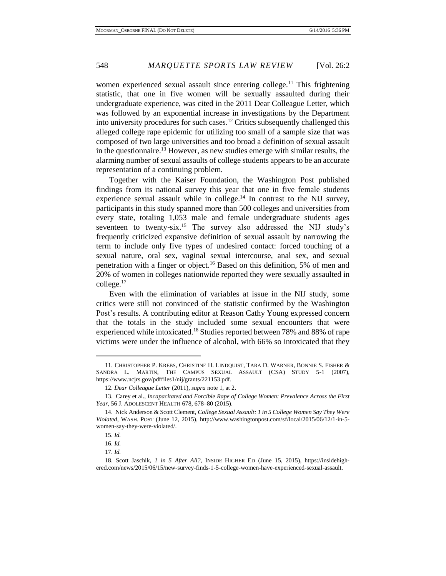women experienced sexual assault since entering college.<sup>11</sup> This frightening statistic, that one in five women will be sexually assaulted during their undergraduate experience, was cited in the 2011 Dear Colleague Letter, which was followed by an exponential increase in investigations by the Department into university procedures for such cases.<sup>12</sup> Critics subsequently challenged this alleged college rape epidemic for utilizing too small of a sample size that was composed of two large universities and too broad a definition of sexual assault in the questionnaire.<sup>13</sup> However, as new studies emerge with similar results, the alarming number of sexual assaults of college students appears to be an accurate representation of a continuing problem.

Together with the Kaiser Foundation, the Washington Post published findings from its national survey this year that one in five female students experience sexual assault while in college. $14$  In contrast to the NIJ survey, participants in this study spanned more than 500 colleges and universities from every state, totaling 1,053 male and female undergraduate students ages seventeen to twenty-six.<sup>15</sup> The survey also addressed the NIJ study's frequently criticized expansive definition of sexual assault by narrowing the term to include only five types of undesired contact: forced touching of a sexual nature, oral sex, vaginal sexual intercourse, anal sex, and sexual penetration with a finger or object.<sup>16</sup> Based on this definition, 5% of men and 20% of women in colleges nationwide reported they were sexually assaulted in college.<sup>17</sup>

Even with the elimination of variables at issue in the NIJ study, some critics were still not convinced of the statistic confirmed by the Washington Post's results. A contributing editor at Reason Cathy Young expressed concern that the totals in the study included some sexual encounters that were experienced while intoxicated.<sup>18</sup> Studies reported between 78% and 88% of rape victims were under the influence of alcohol, with 66% so intoxicated that they

<sup>11.</sup> CHRISTOPHER P. KREBS, CHRISTINE H. LINDQUIST, TARA D. WARNER, BONNIE S. FISHER & SANDRA L. MARTIN, THE CAMPUS SEXUAL ASSAULT (CSA) STUDY 5-1 (2007), https://www.ncjrs.gov/pdffiles1/nij/grants/221153.pdf.

<sup>12.</sup> *Dear Colleague Letter* (2011), *supra* note 1, at 2.

<sup>13.</sup> Carey et al., *Incapacitated and Forcible Rape of College Women: Prevalence Across the First Year*, 56 J. ADOLESCENT HEALTH 678, 678–80 (2015).

<sup>14.</sup> Nick Anderson & Scott Clement, *College Sexual Assault: 1 in 5 College Women Say They Were Violated*, WASH. POST (June 12, 2015), http://www.washingtonpost.com/sf/local/2015/06/12/1-in-5 women-say-they-were-violated/.

<sup>15.</sup> *Id.*

<sup>16.</sup> *Id.*

<sup>17.</sup> *Id.*

<sup>18.</sup> Scott Jaschik, *1 in 5 After All?*, INSIDE HIGHER ED (June 15, 2015), https://insidehighered.com/news/2015/06/15/new-survey-finds-1-5-college-women-have-experienced-sexual-assault.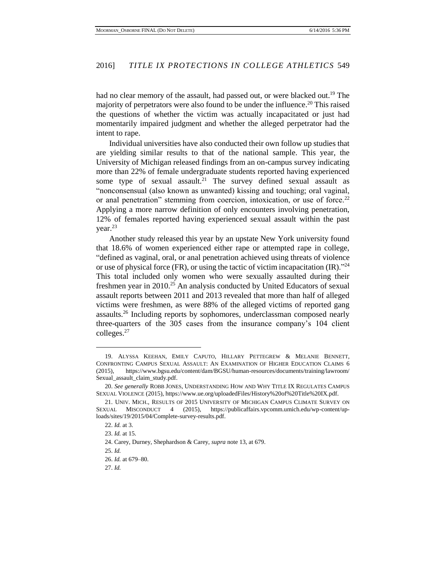had no clear memory of the assault, had passed out, or were blacked out.<sup>19</sup> The majority of perpetrators were also found to be under the influence.<sup>20</sup> This raised the questions of whether the victim was actually incapacitated or just had momentarily impaired judgment and whether the alleged perpetrator had the intent to rape.

Individual universities have also conducted their own follow up studies that are yielding similar results to that of the national sample. This year, the University of Michigan released findings from an on-campus survey indicating more than 22% of female undergraduate students reported having experienced some type of sexual assault.<sup>21</sup> The survey defined sexual assault as "nonconsensual (also known as unwanted) kissing and touching; oral vaginal, or anal penetration" stemming from coercion, intoxication, or use of force.<sup>22</sup> Applying a more narrow definition of only encounters involving penetration, 12% of females reported having experienced sexual assault within the past year.<sup>23</sup>

Another study released this year by an upstate New York university found that 18.6% of women experienced either rape or attempted rape in college, "defined as vaginal, oral, or anal penetration achieved using threats of violence or use of physical force (FR), or using the tactic of victim incapacitation (IR)."<sup>24</sup> This total included only women who were sexually assaulted during their freshmen year in 2010.<sup>25</sup> An analysis conducted by United Educators of sexual assault reports between 2011 and 2013 revealed that more than half of alleged victims were freshmen, as were 88% of the alleged victims of reported gang assaults.<sup>26</sup> Including reports by sophomores, underclassman composed nearly three-quarters of the 305 cases from the insurance company's 104 client colleges.<sup>27</sup>

<sup>19.</sup> ALYSSA KEEHAN, EMILY CAPUTO, HILLARY PETTEGREW & MELANIE BENNETT, CONFRONTING CAMPUS SEXUAL ASSAULT: AN EXAMINATION OF HIGHER EDUCATION CLAIMS 6 (2015), https://www.bgsu.edu/content/dam/BGSU/human-resources/documents/training/lawroom/ Sexual\_assault\_claim\_study.pdf.

<sup>20.</sup> *See generally* ROBB JONES, UNDERSTANDING HOW AND WHY TITLE IX REGULATES CAMPUS SEXUAL VIOLENCE (2015), https://www.ue.org/uploadedFiles/History%20of%20Title%20IX.pdf.

<sup>21.</sup> UNIV. MICH., RESULTS OF 2015 UNIVERSITY OF MICHIGAN CAMPUS CLIMATE SURVEY ON SEXUAL MISCONDUCT 4 (2015), https://publicaffairs.vpcomm.umich.edu/wp-content/uploads/sites/19/2015/04/Complete-survey-results.pdf.

<sup>22.</sup> *Id.* at 3.

<sup>23.</sup> *Id.* at 15.

<sup>24.</sup> Carey, Durney, Shephardson & Carey, *supra* note 13, at 679.

<sup>25.</sup> *Id.*

<sup>26.</sup> *Id.* at 679–80.

<sup>27.</sup> *Id.*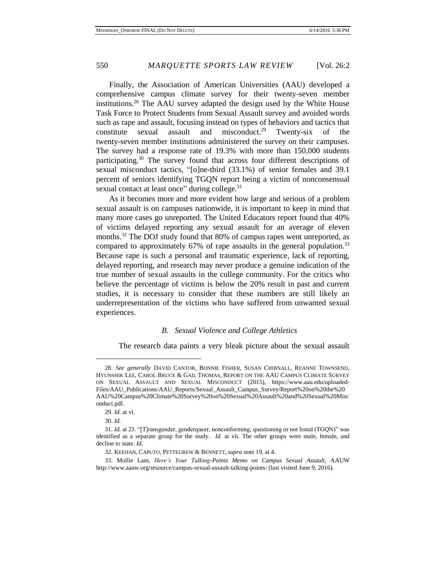Finally, the Association of American Universities (AAU) developed a comprehensive campus climate survey for their twenty-seven member institutions.<sup>28</sup> The AAU survey adapted the design used by the White House Task Force to Protect Students from Sexual Assault survey and avoided words such as rape and assault, focusing instead on types of behaviors and tactics that constitute sexual assault and misconduct.<sup>29</sup> Twenty-six of the twenty-seven member institutions administered the survey on their campuses. The survey had a response rate of 19.3% with more than 150,000 students participating.<sup>30</sup> The survey found that across four different descriptions of sexual misconduct tactics, "[o]ne-third (33.1%) of senior females and 39.1 percent of seniors identifying TGQN report being a victim of nonconsensual sexual contact at least once" during college.<sup>31</sup>

As it becomes more and more evident how large and serious of a problem sexual assault is on campuses nationwide, it is important to keep in mind that many more cases go unreported. The United Educators report found that 40% of victims delayed reporting any sexual assault for an average of eleven months.<sup>32</sup> The DOJ study found that 80% of campus rapes went unreported, as compared to approximately 67% of rape assaults in the general population.<sup>33</sup> Because rape is such a personal and traumatic experience, lack of reporting, delayed reporting, and research may never produce a genuine indication of the true number of sexual assaults in the college community. For the critics who believe the percentage of victims is below the 20% result in past and current studies, it is necessary to consider that these numbers are still likely an underrepresentation of the victims who have suffered from unwanted sexual experiences.

#### *B. Sexual Violence and College Athletics*

The research data paints a very bleak picture about the sexual assault

<sup>28.</sup> *See generally* DAVID CANTOR, BONNIE FISHER, SUSAN CHIBNALL, REANNE TOWNSEND, HYUNSHIK LEE, CAROL BRUCE & GAIL THOMAS, REPORT ON THE AAU CAMPUS CLIMATE SURVEY ON SEXUAL ASSAULT AND SEXUAL MISCONDUCT (2015), https://www.aau.edu/uploaded-Files/AAU\_Publications/AAU\_Reports/Sexual\_Assault\_Campus\_Survey/Report%20on%20the%20 AAU%20Campus%20Climate%20Survey%20on%20Sexual%20Assault%20and%20Sexual%20Misc onduct.pdf.

<sup>29.</sup> *Id.* at vi.

<sup>30.</sup> *Id.*

<sup>31.</sup> *Id.* at 23. "[T]ransgender, genderqueer, nonconforming, questioning or not listed (TGQN)" was identified as a separate group for the study. *Id.* at vii. The other groups were male, female, and decline to state. *Id.*

<sup>32.</sup> KEEHAN, CAPUTO, PETTEGREW & BENNETT, *supra* note 19, at 4.

<sup>33.</sup> Mollie Lam, *Here's Your Talking-Points Memo on Campus Sexual Assault*, AAUW http://www.aauw.org/resource/campus-sexual-assault-talking-points/ (last visited June 9, 2016).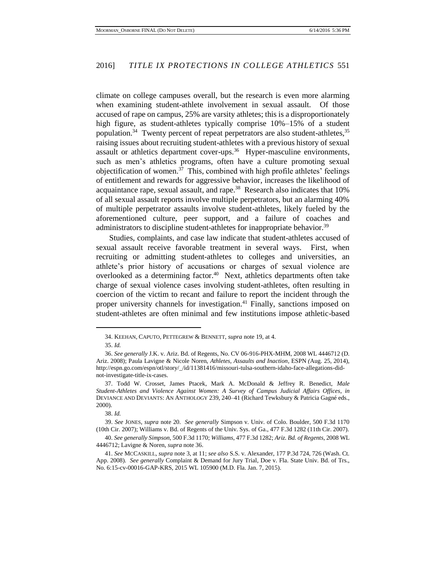climate on college campuses overall, but the research is even more alarming when examining student-athlete involvement in sexual assault. Of those accused of rape on campus, 25% are varsity athletes; this is a disproportionately high figure, as student-athletes typically comprise 10%–15% of a student population.<sup>34</sup> Twenty percent of repeat perpetrators are also student-athletes,<sup>35</sup> raising issues about recruiting student-athletes with a previous history of sexual assault or athletics department cover-ups.<sup>36</sup> Hyper-masculine environments, such as men's athletics programs, often have a culture promoting sexual objectification of women.<sup>37</sup> This, combined with high profile athletes' feelings of entitlement and rewards for aggressive behavior, increases the likelihood of acquaintance rape, sexual assault, and rape.<sup>38</sup> Research also indicates that 10% of all sexual assault reports involve multiple perpetrators, but an alarming 40% of multiple perpetrator assaults involve student-athletes, likely fueled by the aforementioned culture, peer support, and a failure of coaches and administrators to discipline student-athletes for inappropriate behavior.<sup>39</sup>

Studies, complaints, and case law indicate that student-athletes accused of sexual assault receive favorable treatment in several ways. First, when recruiting or admitting student-athletes to colleges and universities, an athlete's prior history of accusations or charges of sexual violence are overlooked as a determining factor.<sup>40</sup> Next, athletics departments often take charge of sexual violence cases involving student-athletes, often resulting in coercion of the victim to recant and failure to report the incident through the proper university channels for investigation.<sup>41</sup> Finally, sanctions imposed on student-athletes are often minimal and few institutions impose athletic-based

<sup>34.</sup> KEEHAN, CAPUTO, PETTEGREW & BENNETT, *supra* note 19, at 4.

<sup>35.</sup> *Id.*

<sup>36.</sup> *See generally* J.K. v. Ariz. Bd. of Regents, No. CV 06-916-PHX-MHM, 2008 WL 4446712 (D. Ariz. 2008); Paula Lavigne & Nicole Noren, *Athletes, Assaults and Inaction*, ESPN *(*Aug. 25, 2014), http://espn.go.com/espn/otl/story/\_/id/11381416/missouri-tulsa-southern-idaho-face-allegations-didnot-investigate-title-ix-cases.

<sup>37.</sup> Todd W. Crosset, James Ptacek, Mark A. McDonald & Jeffrey R. Benedict, *Male Student-Athletes and Violence Against Women: A Survey of Campus Judicial Affairs Offices*, *in* DEVIANCE AND DEVIANTS: AN ANTHOLOGY 239, 240–41 (Richard Tewksbury & Patricia Gagné eds., 2000).

<sup>38.</sup> *Id.*

<sup>39.</sup> *See* JONES, *supra* note 20. *See generally* Simpson v. Univ. of Colo. Boulder, 500 F.3d 1170 (10th Cir. 2007); Williams v. Bd. of Regents of the Univ. Sys. of Ga., 477 F.3d 1282 (11th Cir. 2007).

<sup>40.</sup> *See generally Simpson*, 500 F.3d 1170; *Williams*, 477 F.3d 1282; *Ariz. Bd. of Regents*, 2008 WL 4446712; Lavigne & Noren, *supra* note 36.

<sup>41.</sup> *See* MCCASKILL, *supra* note 3, at 11; *see also* S.S. v. Alexander, 177 P.3d 724, 726 (Wash. Ct. App. 2008). *See generally* Complaint & Demand for Jury Trial, Doe v. Fla. State Univ. Bd. of Trs., No. 6:15-cv-00016-GAP-KRS, 2015 WL 105900 (M.D. Fla. Jan. 7, 2015).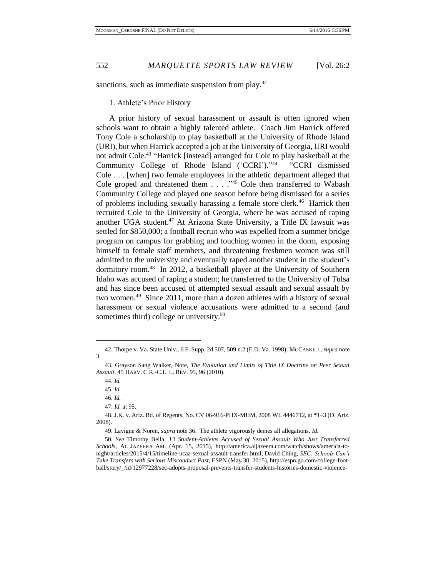sanctions, such as immediate suspension from play.<sup>42</sup>

1. Athlete's Prior History

A prior history of sexual harassment or assault is often ignored when schools want to obtain a highly talented athlete. Coach Jim Harrick offered Tony Cole a scholarship to play basketball at the University of Rhode Island (URI), but when Harrick accepted a job at the University of Georgia, URI would not admit Cole.<sup>43</sup> "Harrick [instead] arranged for Cole to play basketball at the Community College of Rhode Island ('CCRI')." 44 "CCRI dismissed Cole . . . [when] two female employees in the athletic department alleged that Cole groped and threatened them . . . ."<sup>45</sup> Cole then transferred to Wabash Community College and played one season before being dismissed for a series of problems including sexually harassing a female store clerk.<sup>46</sup> Harrick then recruited Cole to the University of Georgia, where he was accused of raping another UGA student.<sup>47</sup> At Arizona State University, a Title IX lawsuit was settled for \$850,000; a football recruit who was expelled from a summer bridge program on campus for grabbing and touching women in the dorm, exposing himself to female staff members, and threatening freshmen women was still admitted to the university and eventually raped another student in the student's dormitory room.<sup>48</sup> In 2012, a basketball player at the University of Southern Idaho was accused of raping a student; he transferred to the University of Tulsa and has since been accused of attempted sexual assault and sexual assault by two women.<sup>49</sup> Since 2011, more than a dozen athletes with a history of sexual harassment or sexual violence accusations were admitted to a second (and sometimes third) college or university.<sup>50</sup>

<sup>42.</sup> Thorpe v. Va. State Univ., 6 F. Supp. 2d 507, 509 n.2 (E.D. Va. 1998); MCCASKILL, *supra* note 3.

<sup>43.</sup> Grayson Sang Walker, Note, *The Evolution and Limits of Title IX Doctrine on Peer Sexual Assault*, 45 HARV. C.R.-C.L. L. REV. 95, 96 (2010).

<sup>44.</sup> *Id.* 

<sup>45.</sup> *Id.* 

<sup>46.</sup> *Id.* 

<sup>47.</sup> *Id.* at 95.

<sup>48.</sup> J.K. v. Ariz. Bd. of Regents, No. CV 06-916-PHX-MHM, 2008 WL 4446712, at \*1–3 (D. Ariz. 2008).

<sup>49.</sup> Lavigne & Noren, *supra* note 36. The athlete vigorously denies all allegations. *Id.*

<sup>50</sup>*. See* Timothy Bella, *13 Student-Athletes Accused of Sexual Assault Who Just Transferred Schools*, AL JAZEERA AM. (Apr. 15, 2015), http://america.aljazeera.com/watch/shows/america-tonight/articles/2015/4/15/timeline-ncaa-sexual-assault-transfer.html; David Ching, *SEC: Schools Can't Take Transfers with Serious Misconduct Past*, ESPN (May 30, 2015), http://espn.go.com/college-football/story/\_/id/12977228/sec-adopts-proposal-prevents-transfer-students-histories-domestic-violence-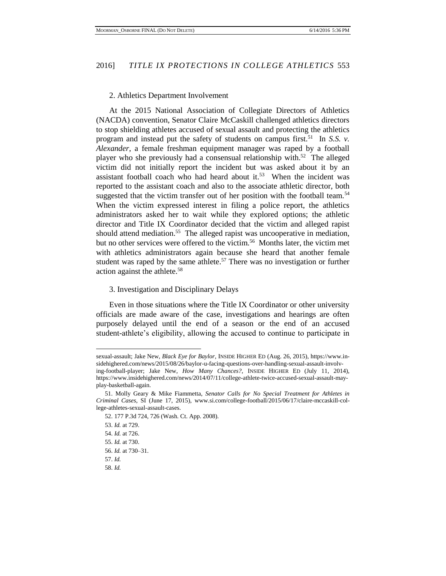#### 2. Athletics Department Involvement

At the 2015 National Association of Collegiate Directors of Athletics (NACDA) convention, Senator Claire McCaskill challenged athletics directors to stop shielding athletes accused of sexual assault and protecting the athletics program and instead put the safety of students on campus first.<sup>51</sup> In *S.S. v. Alexander*, a female freshman equipment manager was raped by a football player who she previously had a consensual relationship with.<sup>52</sup> The alleged victim did not initially report the incident but was asked about it by an assistant football coach who had heard about it. $53$  When the incident was reported to the assistant coach and also to the associate athletic director, both suggested that the victim transfer out of her position with the football team.<sup>54</sup> When the victim expressed interest in filing a police report, the athletics administrators asked her to wait while they explored options; the athletic director and Title IX Coordinator decided that the victim and alleged rapist should attend mediation.<sup>55</sup> The alleged rapist was uncooperative in mediation, but no other services were offered to the victim.<sup>56</sup> Months later, the victim met with athletics administrators again because she heard that another female student was raped by the same athlete.<sup>57</sup> There was no investigation or further action against the athlete.<sup>58</sup>

#### 3. Investigation and Disciplinary Delays

Even in those situations where the Title IX Coordinator or other university officials are made aware of the case, investigations and hearings are often purposely delayed until the end of a season or the end of an accused student-athlete's eligibility, allowing the accused to continue to participate in

sexual-assault; Jake New, *Black Eye for Baylor*, INSIDE HIGHER ED (Aug. 26, 2015), https://www.insidehighered.com/news/2015/08/26/baylor-u-facing-questions-over-handling-sexual-assault-involving-football-player; Jake New, *How Many Chances?*, INSIDE HIGHER ED (July 11, 2014), https://www.insidehighered.com/news/2014/07/11/college-athlete-twice-accused-sexual-assault-mayplay-basketball-again.

<sup>51.</sup> Molly Geary & Mike Fiammetta, *Senator Calls for No Special Treatment for Athletes in Criminal Cases*, SI (June 17, 2015), www.si.com/college-football/2015/06/17/claire-mccaskill-college-athletes-sexual-assault-cases.

<sup>52. 177</sup> P.3d 724, 726 (Wash. Ct. App. 2008).

<sup>53.</sup> *Id.* at 729. 54. *Id.* at 726.

<sup>55.</sup> *Id.* at 730. 56. *Id.* at 730–31.

<sup>57.</sup> *Id.*

<sup>58.</sup> *Id.*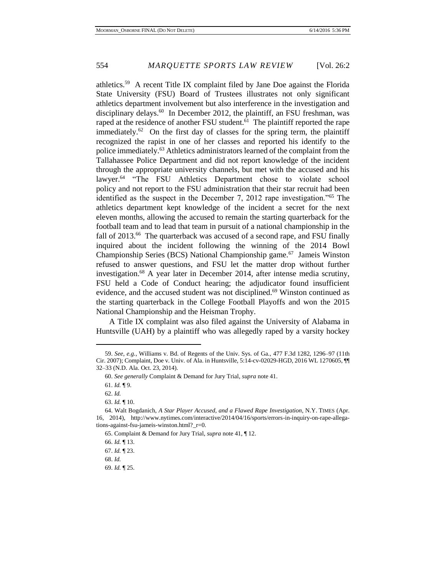athletics.<sup>59</sup> A recent Title IX complaint filed by Jane Doe against the Florida State University (FSU) Board of Trustees illustrates not only significant athletics department involvement but also interference in the investigation and disciplinary delays.<sup>60</sup> In December 2012, the plaintiff, an FSU freshman, was raped at the residence of another FSU student.<sup>61</sup> The plaintiff reported the rape immediately.<sup>62</sup> On the first day of classes for the spring term, the plaintiff recognized the rapist in one of her classes and reported his identify to the police immediately.<sup>63</sup> Athletics administrators learned of the complaint from the Tallahassee Police Department and did not report knowledge of the incident through the appropriate university channels, but met with the accused and his lawyer.<sup>64</sup> "The FSU Athletics Department chose to violate school policy and not report to the FSU administration that their star recruit had been identified as the suspect in the December 7, 2012 rape investigation."<sup>65</sup> The athletics department kept knowledge of the incident a secret for the next eleven months, allowing the accused to remain the starting quarterback for the football team and to lead that team in pursuit of a national championship in the fall of 2013.<sup>66</sup> The quarterback was accused of a second rape, and FSU finally inquired about the incident following the winning of the 2014 Bowl Championship Series (BCS) National Championship game.<sup>67</sup> Jameis Winston refused to answer questions, and FSU let the matter drop without further investigation.<sup>68</sup> A year later in December 2014, after intense media scrutiny, FSU held a Code of Conduct hearing; the adjudicator found insufficient evidence, and the accused student was not disciplined.<sup>69</sup> Winston continued as the starting quarterback in the College Football Playoffs and won the 2015 National Championship and the Heisman Trophy.

A Title IX complaint was also filed against the University of Alabama in Huntsville (UAH) by a plaintiff who was allegedly raped by a varsity hockey

 $\overline{a}$ 

66. *Id.* ¶ 13.

67. *Id.* ¶ 23.

68. *Id.*

<sup>59.</sup> *See, e.g.*, Williams v. Bd. of Regents of the Univ. Sys. of Ga., 477 F.3d 1282, 1296–97 (11th Cir. 2007); Complaint, Doe v. Univ. of Ala. in Huntsville, 5:14-cv-02029-HGD, 2016 WL 1270605, ¶¶ 32–33 (N.D. Ala. Oct. 23, 2014).

<sup>60.</sup> *See generally* Complaint & Demand for Jury Trial, *supra* note 41.

<sup>61.</sup> *Id.* ¶ 9.

<sup>62.</sup> *Id.* 

<sup>63.</sup> *Id.* ¶ 10.

<sup>64.</sup> Walt Bogdanich, *A Star Player Accused, and a Flawed Rape Investigation*, N.Y. TIMES (Apr. 16, 2014), http://www.nytimes.com/interactive/2014/04/16/sports/errors-in-inquiry-on-rape-allegations-against-fsu-jameis-winston.html?\_r=0.

<sup>65.</sup> Complaint & Demand for Jury Trial, *supra* note 41, ¶ 12.

<sup>69.</sup> *Id.* ¶ 25.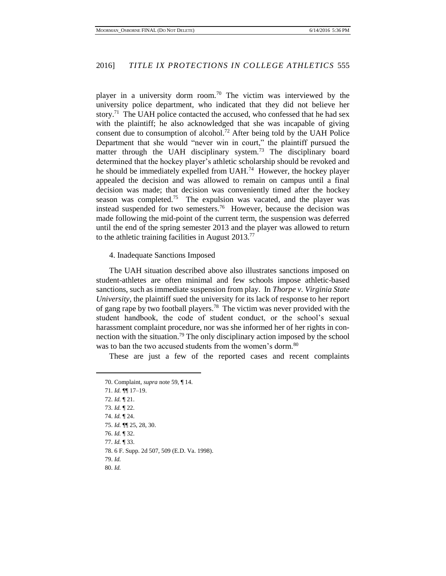player in a university dorm room.<sup>70</sup> The victim was interviewed by the university police department, who indicated that they did not believe her story.<sup>71</sup> The UAH police contacted the accused, who confessed that he had sex with the plaintiff; he also acknowledged that she was incapable of giving consent due to consumption of alcohol.<sup>72</sup> After being told by the UAH Police Department that she would "never win in court," the plaintiff pursued the matter through the UAH disciplinary system.<sup>73</sup> The disciplinary board determined that the hockey player's athletic scholarship should be revoked and he should be immediately expelled from UAH.<sup>74</sup> However, the hockey player appealed the decision and was allowed to remain on campus until a final decision was made; that decision was conveniently timed after the hockey season was completed.<sup>75</sup> The expulsion was vacated, and the player was instead suspended for two semesters.<sup>76</sup> However, because the decision was made following the mid-point of the current term, the suspension was deferred until the end of the spring semester 2013 and the player was allowed to return to the athletic training facilities in August 2013.<sup>77</sup>

4. Inadequate Sanctions Imposed

The UAH situation described above also illustrates sanctions imposed on student-athletes are often minimal and few schools impose athletic-based sanctions, such as immediate suspension from play. In *Thorpe v. Virginia State University*, the plaintiff sued the university for its lack of response to her report of gang rape by two football players.<sup>78</sup> The victim was never provided with the student handbook, the code of student conduct, or the school's sexual harassment complaint procedure, nor was she informed her of her rights in connection with the situation.<sup>79</sup> The only disciplinary action imposed by the school was to ban the two accused students from the women's dorm.<sup>80</sup>

These are just a few of the reported cases and recent complaints

70. Complaint, *supra* note 59, ¶ 14. 71. *Id.* ¶¶ 17–19. 72. *Id.* ¶ 21. 73. *Id.* ¶ 22. 74. *Id.* ¶ 24. 75. *Id.* ¶¶ 25, 28, 30. 76. *Id.* ¶ 32. 77. *Id.* ¶ 33. 78. 6 F. Supp. 2d 507, 509 (E.D. Va. 1998). 79. *Id.* 80. *Id.*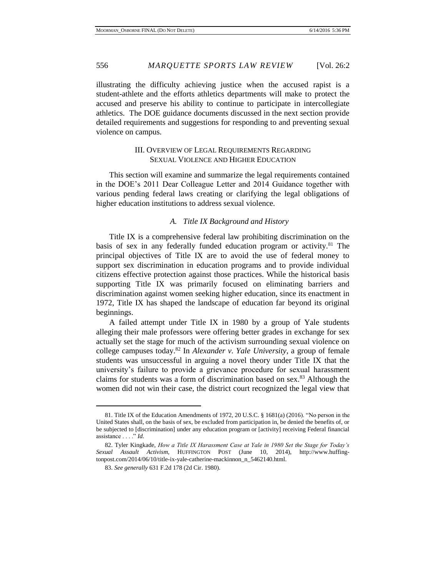illustrating the difficulty achieving justice when the accused rapist is a student-athlete and the efforts athletics departments will make to protect the accused and preserve his ability to continue to participate in intercollegiate athletics. The DOE guidance documents discussed in the next section provide detailed requirements and suggestions for responding to and preventing sexual violence on campus.

#### III. OVERVIEW OF LEGAL REQUIREMENTS REGARDING SEXUAL VIOLENCE AND HIGHER EDUCATION

This section will examine and summarize the legal requirements contained in the DOE's 2011 Dear Colleague Letter and 2014 Guidance together with various pending federal laws creating or clarifying the legal obligations of higher education institutions to address sexual violence.

#### *A. Title IX Background and History*

Title IX is a comprehensive federal law prohibiting discrimination on the basis of sex in any federally funded education program or activity.<sup>81</sup> The principal objectives of Title IX are to avoid the use of federal money to support sex discrimination in education programs and to provide individual citizens effective protection against those practices. While the historical basis supporting Title IX was primarily focused on eliminating barriers and discrimination against women seeking higher education, since its enactment in 1972, Title IX has shaped the landscape of education far beyond its original beginnings.

A failed attempt under Title IX in 1980 by a group of Yale students alleging their male professors were offering better grades in exchange for sex actually set the stage for much of the activism surrounding sexual violence on college campuses today.<sup>82</sup> In *Alexander v. Yale University*, a group of female students was unsuccessful in arguing a novel theory under Title IX that the university's failure to provide a grievance procedure for sexual harassment claims for students was a form of discrimination based on sex.<sup>83</sup> Although the women did not win their case, the district court recognized the legal view that

<sup>81.</sup> Title IX of the Education Amendments of 1972, 20 U.S.C. § 1681(a) (2016). "No person in the United States shall, on the basis of sex, be excluded from participation in, be denied the benefits of, or be subjected to [discrimination] under any education program or [activity] receiving Federal financial assistance . . . ." *Id.* 

<sup>82.</sup> Tyler Kingkade, *How a Title IX Harassment Case at Yale in 1980 Set the Stage for Today's Sexual Assault Activism*, HUFFINGTON POST (June 10, 2014), http://www.huffingtonpost.com/2014/06/10/title-ix-yale-catherine-mackinnon\_n\_5462140.html.

<sup>83.</sup> *See generally* 631 F.2d 178 (2d Cir. 1980).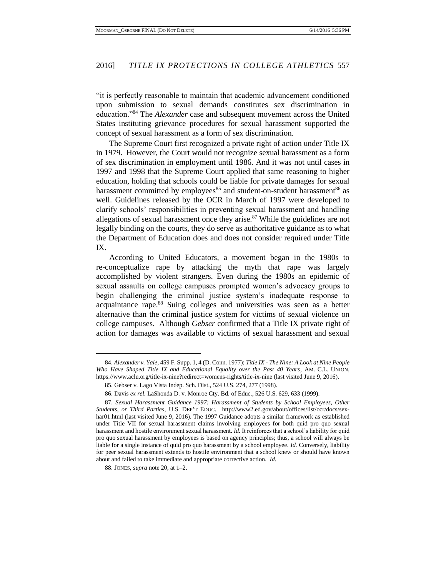"it is perfectly reasonable to maintain that academic advancement conditioned upon submission to sexual demands constitutes sex discrimination in education."<sup>84</sup> The *Alexander* case and subsequent movement across the United States instituting grievance procedures for sexual harassment supported the concept of sexual harassment as a form of sex discrimination.

The Supreme Court first recognized a private right of action under Title IX in 1979. However, the Court would not recognize sexual harassment as a form of sex discrimination in employment until 1986. And it was not until cases in 1997 and 1998 that the Supreme Court applied that same reasoning to higher education, holding that schools could be liable for private damages for sexual harassment committed by employees<sup>85</sup> and student-on-student harassment<sup>86</sup> as well. Guidelines released by the OCR in March of 1997 were developed to clarify schools' responsibilities in preventing sexual harassment and handling allegations of sexual harassment once they arise. $87$  While the guidelines are not legally binding on the courts, they do serve as authoritative guidance as to what the Department of Education does and does not consider required under Title IX.

According to United Educators, a movement began in the 1980s to re-conceptualize rape by attacking the myth that rape was largely accomplished by violent strangers. Even during the 1980s an epidemic of sexual assaults on college campuses prompted women's advocacy groups to begin challenging the criminal justice system's inadequate response to acquaintance rape.<sup>88</sup> Suing colleges and universities was seen as a better alternative than the criminal justice system for victims of sexual violence on college campuses. Although *Gebser* confirmed that a Title IX private right of action for damages was available to victims of sexual harassment and sexual

<sup>84.</sup> *Alexander v. Yale*, 459 F. Supp. 1, 4 (D. Conn. 1977); *Title IX - The Nine: A Look at Nine People Who Have Shaped Title IX and Educational Equality over the Past 40 Years*, AM. C.L. UNION, https://www.aclu.org/title-ix-nine?redirect=womens-rights/title-ix-nine (last visited June 9, 2016).

<sup>85.</sup> Gebser v. Lago Vista Indep. Sch. Dist., 524 U.S. 274, 277 (1998).

<sup>86.</sup> Davis *ex rel.* LaShonda D. v. Monroe Cty. Bd. of Educ., 526 U.S. 629, 633 (1999).

<sup>87.</sup> *Sexual Harassment Guidance 1997: Harassment of Students by School Employees, Other Students, or Third Parties*, U.S. DEP'T EDUC. http://www2.ed.gov/about/offices/list/ocr/docs/sexhar01.html (last visited June 9, 2016). The 1997 Guidance adopts a similar framework as established under Title VII for sexual harassment claims involving employees for both quid pro quo sexual harassment and hostile environment sexual harassment. *Id.* It reinforces that a school's liability for quid pro quo sexual harassment by employees is based on agency principles; thus, a school will always be liable for a single instance of quid pro quo harassment by a school employee. *Id.* Conversely, liability for peer sexual harassment extends to hostile environment that a school knew or should have known about and failed to take immediate and appropriate corrective action. *Id.*

<sup>88.</sup> JONES, *supra* note 20, at 1–2.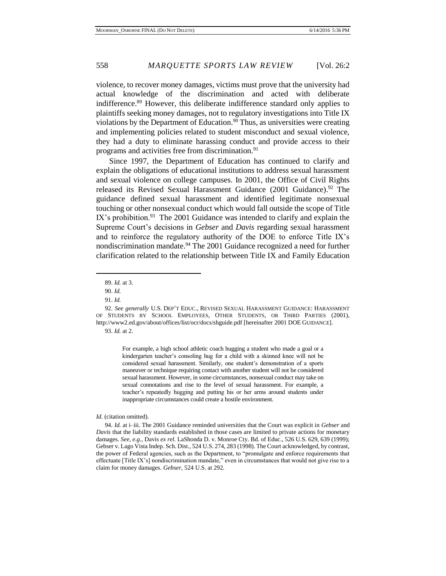violence, to recover money damages, victims must prove that the university had actual knowledge of the discrimination and acted with deliberate indifference.<sup>89</sup> However, this deliberate indifference standard only applies to plaintiffs seeking money damages, not to regulatory investigations into Title IX violations by the Department of Education.<sup>90</sup> Thus, as universities were creating and implementing policies related to student misconduct and sexual violence, they had a duty to eliminate harassing conduct and provide access to their programs and activities free from discrimination.<sup>91</sup>

Since 1997, the Department of Education has continued to clarify and explain the obligations of educational institutions to address sexual harassment and sexual violence on college campuses. In 2001, the Office of Civil Rights released its Revised Sexual Harassment Guidance (2001 Guidance).<sup>92</sup> The guidance defined sexual harassment and identified legitimate nonsexual touching or other nonsexual conduct which would fall outside the scope of Title IX's prohibition.<sup>93</sup> The 2001 Guidance was intended to clarify and explain the Supreme Court's decisions in *Gebser* and *Davis* regarding sexual harassment and to reinforce the regulatory authority of the DOE to enforce Title IX's nondiscrimination mandate. <sup>94</sup> The 2001 Guidance recognized a need for further clarification related to the relationship between Title IX and Family Education

 $\overline{a}$ 

93. *Id.* at 2.

For example, a high school athletic coach hugging a student who made a goal or a kindergarten teacher's consoling hug for a child with a skinned knee will not be considered sexual harassment. Similarly, one student's demonstration of a sports maneuver or technique requiring contact with another student will not be considered sexual harassment. However, in some circumstances, nonsexual conduct may take on sexual connotations and rise to the level of sexual harassment. For example, a teacher's repeatedly hugging and putting his or her arms around students under inappropriate circumstances could create a hostile environment.

#### *Id.* (citation omitted).

<sup>89.</sup> *Id.* at 3.

<sup>90.</sup> *Id.* 

<sup>91.</sup> *Id.* 

<sup>92.</sup> *See generally* U.S. DEP'T EDUC., REVISED SEXUAL HARASSMENT GUIDANCE: HARASSMENT OF STUDENTS BY SCHOOL EMPLOYEES, OTHER STUDENTS, OR THIRD PARTIES (2001), http://www2.ed.gov/about/offices/list/ocr/docs/shguide.pdf [hereinafter 2001 DOE GUIDANCE].

<sup>94.</sup> *Id.* at i–iii. The 2001 Guidance reminded universities that the Court was explicit in *Gebser* and *Davis* that the liability standards established in those cases are limited to private actions for monetary damages. *See, e.g.*, Davis *ex rel.* LaShonda D. v. Monroe Cty. Bd. of Educ., 526 U.S. 629, 639 (1999); Gebser v. Lago Vista Indep. Sch. Dist., 524 U.S. 274, 283 (1998). The Court acknowledged, by contrast, the power of Federal agencies, such as the Department, to "promulgate and enforce requirements that effectuate [Title IX's] nondiscrimination mandate," even in circumstances that would not give rise to a claim for money damages. *Gebser*, 524 U.S. at 292.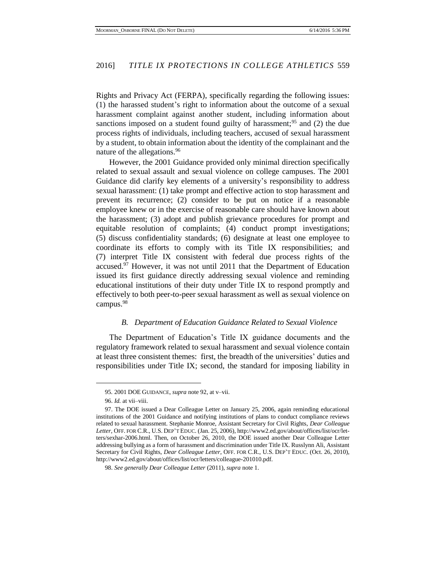Rights and Privacy Act (FERPA), specifically regarding the following issues: (1) the harassed student's right to information about the outcome of a sexual harassment complaint against another student, including information about sanctions imposed on a student found guilty of harassment; $95$  and (2) the due process rights of individuals, including teachers, accused of sexual harassment by a student, to obtain information about the identity of the complainant and the nature of the allegations.<sup>96</sup>

However, the 2001 Guidance provided only minimal direction specifically related to sexual assault and sexual violence on college campuses. The 2001 Guidance did clarify key elements of a university's responsibility to address sexual harassment: (1) take prompt and effective action to stop harassment and prevent its recurrence; (2) consider to be put on notice if a reasonable employee knew or in the exercise of reasonable care should have known about the harassment; (3) adopt and publish grievance procedures for prompt and equitable resolution of complaints; (4) conduct prompt investigations; (5) discuss confidentiality standards; (6) designate at least one employee to coordinate its efforts to comply with its Title IX responsibilities; and (7) interpret Title IX consistent with federal due process rights of the accused.<sup>97</sup> However, it was not until 2011 that the Department of Education issued its first guidance directly addressing sexual violence and reminding educational institutions of their duty under Title IX to respond promptly and effectively to both peer-to-peer sexual harassment as well as sexual violence on campus.<sup>98</sup>

#### *B. Department of Education Guidance Related to Sexual Violence*

The Department of Education's Title IX guidance documents and the regulatory framework related to sexual harassment and sexual violence contain at least three consistent themes: first, the breadth of the universities' duties and responsibilities under Title IX; second, the standard for imposing liability in

<sup>95</sup>*.* 2001 DOE GUIDANCE*, supra* note 92, at v–vii.

<sup>96.</sup> *Id.* at vii–viii.

<sup>97.</sup> The DOE issued a Dear Colleague Letter on January 25, 2006, again reminding educational institutions of the 2001 Guidance and notifying institutions of plans to conduct compliance reviews related to sexual harassment. Stephanie Monroe, Assistant Secretary for Civil Rights, *Dear Colleague Letter*, OFF. FOR C.R., U.S. DEP'T EDUC. (Jan. 25, 2006), http://www2.ed.gov/about/offices/list/ocr/letters/sexhar-2006.html. Then, on October 26, 2010, the DOE issued another Dear Colleague Letter addressing bullying as a form of harassment and discrimination under Title IX. Russlynn Ali, Assistant Secretary for Civil Rights, *Dear Colleague Letter*, OFF. FOR C.R., U.S. DEP'T EDUC. (Oct. 26, 2010), http://www2.ed.gov/about/offices/list/ocr/letters/colleague-201010.pdf.

<sup>98.</sup> *See generally Dear Colleague Letter* (2011), *supra* note 1.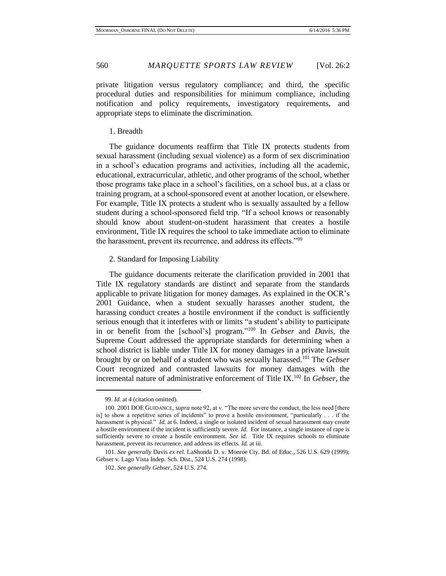private litigation versus regulatory compliance; and third, the specific procedural duties and responsibilities for minimum compliance, including notification and policy requirements, investigatory requirements, and appropriate steps to eliminate the discrimination.

#### 1. Breadth

The guidance documents reaffirm that Title IX protects students from sexual harassment (including sexual violence) as a form of sex discrimination in a school's education programs and activities, including all the academic, educational, extracurricular, athletic, and other programs of the school, whether those programs take place in a school's facilities, on a school bus, at a class or training program, at a school-sponsored event at another location, or elsewhere. For example, Title IX protects a student who is sexually assaulted by a fellow student during a school-sponsored field trip. "If a school knows or reasonably should know about student-on-student harassment that creates a hostile environment, Title IX requires the school to take immediate action to eliminate the harassment, prevent its recurrence, and address its effects."<sup>99</sup>

#### 2. Standard for Imposing Liability

The guidance documents reiterate the clarification provided in 2001 that Title IX regulatory standards are distinct and separate from the standards applicable to private litigation for money damages. As explained in the OCR's 2001 Guidance, when a student sexually harasses another student, the harassing conduct creates a hostile environment if the conduct is sufficiently serious enough that it interferes with or limits "a student's ability to participate in or benefit from the [school's] program." <sup>100</sup> In *Gebser* and *Davis*, the Supreme Court addressed the appropriate standards for determining when a school district is liable under Title IX for money damages in a private lawsuit brought by or on behalf of a student who was sexually harassed.<sup>101</sup> The *Gebser*  Court recognized and contrasted lawsuits for money damages with the incremental nature of administrative enforcement of Title IX.<sup>102</sup> In *Gebser*, the

<sup>99.</sup> *Id.* at 4 (citation omitted).

<sup>100. 2001</sup> DOE GUIDANCE, *supra* note 92, at v. "The more severe the conduct, the less need [there is] to show a repetitive series of incidents" to prove a hostile environment, "particularly . . . if the harassment is physical." *Id.* at 6. Indeed, a single or isolated incident of sexual harassment may create a hostile environment if the incident is sufficiently severe. *Id.* For instance, a single instance of rape is sufficiently severe to create a hostile environment. *See id.* Title IX requires schools to eliminate harassment, prevent its recurrence, and address its effects. *Id.* at iii.

<sup>101.</sup> *See generally* Davis *ex rel.* LaShonda D. v. Monroe Cty. Bd. of Educ., 526 U.S. 629 (1999); Gebser v. Lago Vista Indep. Sch. Dist., 524 U.S. 274 (1998).

<sup>102.</sup> *See generally Gebser*, 524 U.S. 274.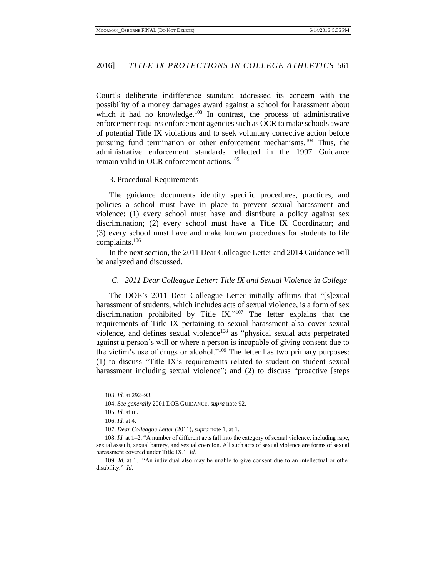Court's deliberate indifference standard addressed its concern with the possibility of a money damages award against a school for harassment about which it had no knowledge. $103$  In contrast, the process of administrative enforcement requires enforcement agencies such as OCR to make schools aware of potential Title IX violations and to seek voluntary corrective action before pursuing fund termination or other enforcement mechanisms.<sup>104</sup> Thus, the administrative enforcement standards reflected in the 1997 Guidance remain valid in OCR enforcement actions.<sup>105</sup>

#### 3. Procedural Requirements

The guidance documents identify specific procedures, practices, and policies a school must have in place to prevent sexual harassment and violence: (1) every school must have and distribute a policy against sex discrimination; (2) every school must have a Title IX Coordinator; and (3) every school must have and make known procedures for students to file complaints.<sup>106</sup>

In the next section, the 2011 Dear Colleague Letter and 2014 Guidance will be analyzed and discussed.

#### *C. 2011 Dear Colleague Letter: Title IX and Sexual Violence in College*

The DOE's 2011 Dear Colleague Letter initially affirms that "[s]exual harassment of students, which includes acts of sexual violence, is a form of sex discrimination prohibited by Title IX." $107$  The letter explains that the requirements of Title IX pertaining to sexual harassment also cover sexual violence, and defines sexual violence<sup>108</sup> as "physical sexual acts perpetrated against a person's will or where a person is incapable of giving consent due to the victim's use of drugs or alcohol." <sup>109</sup> The letter has two primary purposes: (1) to discuss "Title IX's requirements related to student-on-student sexual harassment including sexual violence"; and (2) to discuss "proactive [steps

<sup>103.</sup> *Id.* at 292–93.

<sup>104.</sup> *See generally* 2001 DOE GUIDANCE, *supra* note 92.

<sup>105.</sup> *Id.* at iii.

<sup>106.</sup> *Id.* at 4.

<sup>107.</sup> *Dear Colleague Letter* (2011), *supra* note 1, at 1.

<sup>108.</sup> *Id.* at 1–2. "A number of different acts fall into the category of sexual violence, including rape, sexual assault, sexual battery, and sexual coercion. All such acts of sexual violence are forms of sexual harassment covered under Title IX." *Id.*

<sup>109.</sup> *Id.* at 1. "An individual also may be unable to give consent due to an intellectual or other disability." *Id.*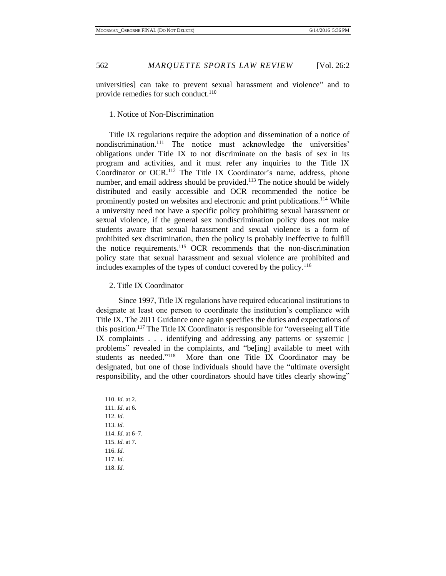universities] can take to prevent sexual harassment and violence" and to provide remedies for such conduct. $110$ 

1. Notice of Non-Discrimination

Title IX regulations require the adoption and dissemination of a notice of nondiscrimination.<sup>111</sup> The notice must acknowledge the universities' obligations under Title IX to not discriminate on the basis of sex in its program and activities, and it must refer any inquiries to the Title IX Coordinator or OCR.<sup>112</sup> The Title IX Coordinator's name, address, phone number, and email address should be provided.<sup>113</sup> The notice should be widely distributed and easily accessible and OCR recommended the notice be prominently posted on websites and electronic and print publications.<sup>114</sup> While a university need not have a specific policy prohibiting sexual harassment or sexual violence, if the general sex nondiscrimination policy does not make students aware that sexual harassment and sexual violence is a form of prohibited sex discrimination, then the policy is probably ineffective to fulfill the notice requirements.<sup>115</sup> OCR recommends that the non-discrimination policy state that sexual harassment and sexual violence are prohibited and includes examples of the types of conduct covered by the policy.<sup>116</sup>

#### 2. Title IX Coordinator

Since 1997, Title IX regulations have required educational institutions to designate at least one person to coordinate the institution's compliance with Title IX. The 2011 Guidance once again specifies the duties and expectations of this position.<sup>117</sup> The Title IX Coordinator is responsible for "overseeing all Title IX complaints . . . identifying and addressing any patterns or systemic | problems" revealed in the complaints, and "be[ing] available to meet with students as needed."<sup>118</sup> More than one Title IX Coordinator may be designated, but one of those individuals should have the "ultimate oversight responsibility, and the other coordinators should have titles clearly showing"

110. *Id.* at 2. 111. *Id.* at 6. 112. *Id.*  113. *Id.*  114. *Id.* at 6–7. 115. *Id.* at 7. 116. *Id.* 117. *Id.* 118. *Id.*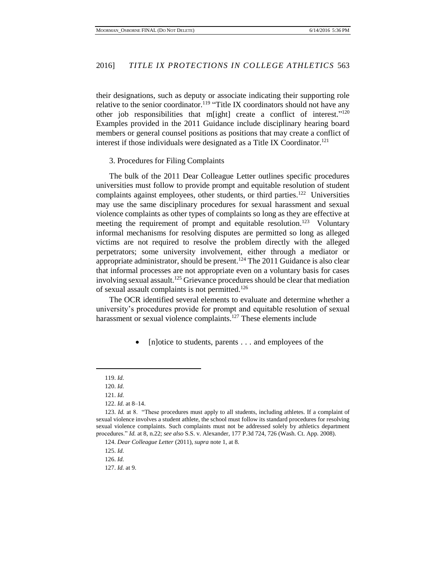their designations, such as deputy or associate indicating their supporting role relative to the senior coordinator.<sup>119</sup> "Title IX coordinators should not have any other job responsibilities that m[ight] create a conflict of interest."<sup>120</sup> Examples provided in the 2011 Guidance include disciplinary hearing board members or general counsel positions as positions that may create a conflict of interest if those individuals were designated as a Title IX Coordinator.<sup>121</sup>

3. Procedures for Filing Complaints

The bulk of the 2011 Dear Colleague Letter outlines specific procedures universities must follow to provide prompt and equitable resolution of student complaints against employees, other students, or third parties.<sup>122</sup> Universities may use the same disciplinary procedures for sexual harassment and sexual violence complaints as other types of complaints so long as they are effective at meeting the requirement of prompt and equitable resolution.<sup>123</sup> Voluntary informal mechanisms for resolving disputes are permitted so long as alleged victims are not required to resolve the problem directly with the alleged perpetrators; some university involvement, either through a mediator or appropriate administrator, should be present.<sup>124</sup> The 2011 Guidance is also clear that informal processes are not appropriate even on a voluntary basis for cases involving sexual assault.<sup>125</sup> Grievance procedures should be clear that mediation of sexual assault complaints is not permitted.<sup>126</sup>

The OCR identified several elements to evaluate and determine whether a university's procedures provide for prompt and equitable resolution of sexual harassment or sexual violence complaints.<sup>127</sup> These elements include

[n]otice to students, parents . . . and employees of the

<sup>119.</sup> *Id.* 

<sup>120.</sup> *Id.* 

<sup>121.</sup> *Id.*

<sup>122.</sup> *Id.* at 8–14.

<sup>123.</sup> *Id.* at 8. "These procedures must apply to all students, including athletes. If a complaint of sexual violence involves a student athlete, the school must follow its standard procedures for resolving sexual violence complaints. Such complaints must not be addressed solely by athletics department procedures." *Id.* at 8, n.22; *see also* S.S. v. Alexander, 177 P.3d 724, 726 (Wash. Ct. App. 2008).

<sup>124.</sup> *Dear Colleague Letter* (2011), *supra* note 1, at 8.

<sup>125.</sup> *Id.* 

<sup>126.</sup> *Id.* 

<sup>127.</sup> *Id.* at 9.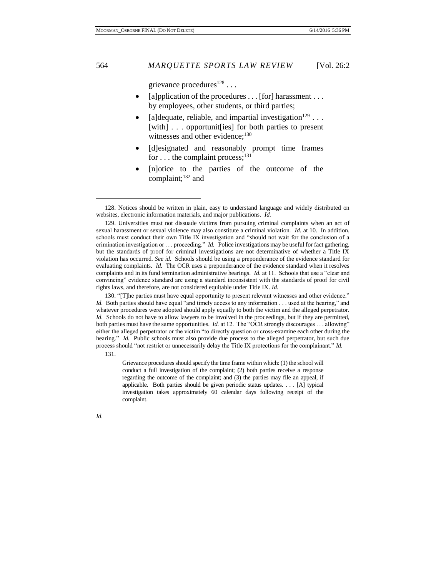grievance procedures<sup>128</sup>...

- [a]pplication of the procedures . . . [for] harassment . . . by employees, other students, or third parties;
- [a]dequate, reliable, and impartial investigation<sup>129</sup> . . . [with] . . . opportunit[ies] for both parties to present witnesses and other evidence;<sup>130</sup>
- [d]esignated and reasonably prompt time frames for . . . the complaint process;  $^{131}$
- [n]otice to the parties of the outcome of the complaint; <sup>132</sup> and

131.

*Id.*

Grievance procedures should specify the time frame within which: (1) the school will conduct a full investigation of the complaint; (2) both parties receive a response regarding the outcome of the complaint; and (3) the parties may file an appeal, if applicable. Both parties should be given periodic status updates. . . . [A] typical investigation takes approximately 60 calendar days following receipt of the complaint.

<sup>128.</sup> Notices should be written in plain, easy to understand language and widely distributed on websites, electronic information materials, and major publications. *Id.* 

<sup>129.</sup> Universities must not dissuade victims from pursuing criminal complaints when an act of sexual harassment or sexual violence may also constitute a criminal violation. *Id.* at 10. In addition, schools must conduct their own Title IX investigation and "should not wait for the conclusion of a crimination investigation or . . . proceeding." *Id.* Police investigations may be useful for fact gathering, but the standards of proof for criminal investigations are not determinative of whether a Title IX violation has occurred. *See id.* Schools should be using a preponderance of the evidence standard for evaluating complaints. *Id.* The OCR uses a preponderance of the evidence standard when it resolves complaints and in its fund termination administrative hearings. *Id.* at 11. Schools that use a "clear and convincing" evidence standard are using a standard inconsistent with the standards of proof for civil rights laws, and therefore, are not considered equitable under Title IX. *Id.*

<sup>130. &</sup>quot;[T]he parties must have equal opportunity to present relevant witnesses and other evidence." *Id.* Both parties should have equal "and timely access to any information . . . used at the hearing," and whatever procedures were adopted should apply equally to both the victim and the alleged perpetrator. *Id.* Schools do not have to allow lawyers to be involved in the proceedings, but if they are permitted, both parties must have the same opportunities. *Id.* at 12. The "OCR strongly discourages . . . allowing" either the alleged perpetrator or the victim "to directly question or cross-examine each other during the hearing." *Id.* Public schools must also provide due process to the alleged perpetrator, but such due process should "not restrict or unnecessarily delay the Title IX protections for the complainant." *Id.*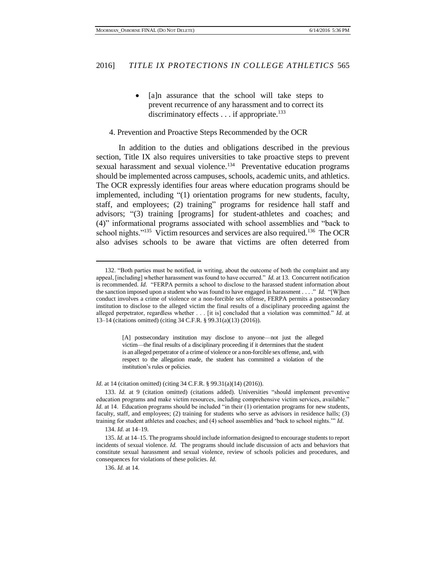• [a]n assurance that the school will take steps to prevent recurrence of any harassment and to correct its discriminatory effects  $\dots$  if appropriate.<sup>133</sup>

#### 4. Prevention and Proactive Steps Recommended by the OCR

In addition to the duties and obligations described in the previous section, Title IX also requires universities to take proactive steps to prevent sexual harassment and sexual violence.<sup>134</sup> Preventative education programs should be implemented across campuses, schools, academic units, and athletics. The OCR expressly identifies four areas where education programs should be implemented, including "(1) orientation programs for new students, faculty, staff, and employees; (2) training" programs for residence hall staff and advisors; "(3) training [programs] for student-athletes and coaches; and (4)" informational programs associated with school assemblies and "back to school nights."<sup>135</sup> Victim resources and services are also required.<sup>136</sup> The OCR also advises schools to be aware that victims are often deterred from

[A] postsecondary institution may disclose to anyone—not just the alleged victim—the final results of a disciplinary proceeding if it determines that the student is an alleged perpetrator of a crime of violence or a non-forcible sex offense, and, with respect to the allegation made, the student has committed a violation of the institution's rules or policies.

*Id.* at 14 (citation omitted) (citing 34 C.F.R. § 99.31(a)(14) (2016)).

134. *Id.* at 14–19.

 $\overline{a}$ 

135. *Id.* at 14–15. The programs should include information designed to encourage students to report incidents of sexual violence. *Id.* The programs should include discussion of acts and behaviors that constitute sexual harassment and sexual violence, review of schools policies and procedures, and consequences for violations of these policies. *Id.*

136. *Id.* at 14.

<sup>132. &</sup>quot;Both parties must be notified, in writing, about the outcome of both the complaint and any appeal, [including] whether harassment was found to have occurred." *Id.* at 13. Concurrent notification is recommended. *Id.* "FERPA permits a school to disclose to the harassed student information about the sanction imposed upon a student who was found to have engaged in harassment . . . ." *Id.* "[W]hen conduct involves a crime of violence or a non-forcible sex offense, FERPA permits a postsecondary institution to disclose to the alleged victim the final results of a disciplinary proceeding against the alleged perpetrator, regardless whether . . . [it is] concluded that a violation was committed." *Id.* at 13–14 (citations omitted) (citing 34 C.F.R. § 99.31(a)(13) (2016)).

<sup>133.</sup> *Id.* at 9 (citation omitted) (citations added). Universities "should implement preventive education programs and make victim resources, including comprehensive victim services, available." *Id.* at 14. Education programs should be included "in their (1) orientation programs for new students, faculty, staff, and employees; (2) training for students who serve as advisors in residence halls; (3) training for student athletes and coaches; and (4) school assemblies and 'back to school nights.'" *Id.*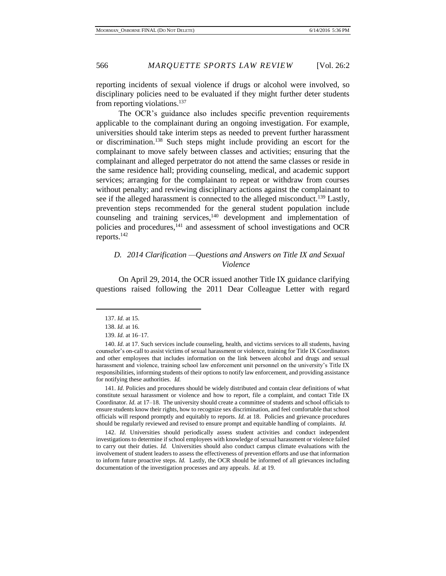reporting incidents of sexual violence if drugs or alcohol were involved, so disciplinary policies need to be evaluated if they might further deter students from reporting violations.<sup>137</sup>

The OCR's guidance also includes specific prevention requirements applicable to the complainant during an ongoing investigation. For example, universities should take interim steps as needed to prevent further harassment or discrimination.<sup>138</sup> Such steps might include providing an escort for the complainant to move safely between classes and activities; ensuring that the complainant and alleged perpetrator do not attend the same classes or reside in the same residence hall; providing counseling, medical, and academic support services; arranging for the complainant to repeat or withdraw from courses without penalty; and reviewing disciplinary actions against the complainant to see if the alleged harassment is connected to the alleged misconduct.<sup>139</sup> Lastly, prevention steps recommended for the general student population include counseling and training services, <sup>140</sup> development and implementation of policies and procedures,<sup>141</sup> and assessment of school investigations and OCR reports.<sup>142</sup>

### *D. 2014 Clarification —Questions and Answers on Title IX and Sexual Violence*

On April 29, 2014, the OCR issued another Title IX guidance clarifying questions raised following the 2011 Dear Colleague Letter with regard

 $\overline{a}$ 

141. *Id.* Policies and procedures should be widely distributed and contain clear definitions of what constitute sexual harassment or violence and how to report, file a complaint, and contact Title IX Coordinator. *Id.* at 17–18. The university should create a committee of students and school officials to ensure students know their rights, how to recognize sex discrimination, and feel comfortable that school officials will respond promptly and equitably to reports. *Id.* at 18. Policies and grievance procedures should be regularly reviewed and revised to ensure prompt and equitable handling of complaints. *Id.* 

142. *Id.* Universities should periodically assess student activities and conduct independent investigations to determine if school employees with knowledge of sexual harassment or violence failed to carry out their duties. *Id.* Universities should also conduct campus climate evaluations with the involvement of student leaders to assess the effectiveness of prevention efforts and use that information to inform future proactive steps. *Id.* Lastly, the OCR should be informed of all grievances including documentation of the investigation processes and any appeals. *Id.* at 19.

<sup>137.</sup> *Id.* at 15.

<sup>138.</sup> *Id.* at 16.

<sup>139.</sup> *Id.* at 16–17.

<sup>140.</sup> *Id.* at 17. Such services include counseling, health, and victims services to all students, having counselor's on-call to assist victims of sexual harassment or violence, training for Title IX Coordinators and other employees that includes information on the link between alcohol and drugs and sexual harassment and violence, training school law enforcement unit personnel on the university's Title IX responsibilities, informing students of their options to notify law enforcement, and providing assistance for notifying these authorities. *Id.*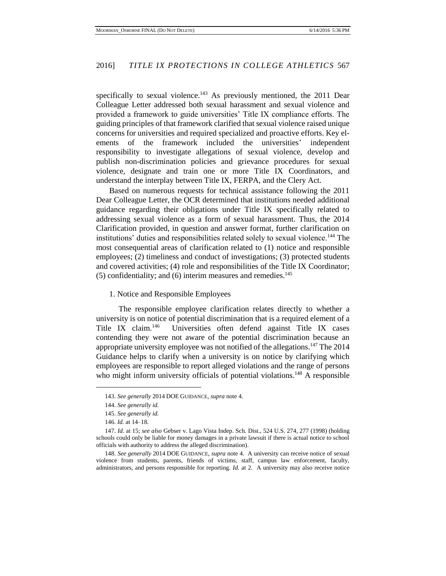specifically to sexual violence.<sup>143</sup> As previously mentioned, the  $2011$  Dear Colleague Letter addressed both sexual harassment and sexual violence and provided a framework to guide universities' Title IX compliance efforts. The guiding principles of that framework clarified that sexual violence raised unique concerns for universities and required specialized and proactive efforts. Key elements of the framework included the universities' independent responsibility to investigate allegations of sexual violence, develop and publish non-discrimination policies and grievance procedures for sexual violence, designate and train one or more Title IX Coordinators, and understand the interplay between Title IX, FERPA, and the Clery Act.

Based on numerous requests for technical assistance following the 2011 Dear Colleague Letter, the OCR determined that institutions needed additional guidance regarding their obligations under Title IX specifically related to addressing sexual violence as a form of sexual harassment. Thus, the 2014 Clarification provided, in question and answer format, further clarification on institutions' duties and responsibilities related solely to sexual violence.<sup>144</sup> The most consequential areas of clarification related to (1) notice and responsible employees; (2) timeliness and conduct of investigations; (3) protected students and covered activities; (4) role and responsibilities of the Title IX Coordinator;  $(5)$  confidentiality; and  $(6)$  interim measures and remedies.<sup>145</sup>

1. Notice and Responsible Employees

The responsible employee clarification relates directly to whether a university is on notice of potential discrimination that is a required element of a Title IX claim.<sup>146</sup> Universities often defend against Title IX cases contending they were not aware of the potential discrimination because an appropriate university employee was not notified of the allegations.<sup>147</sup> The 2014 Guidance helps to clarify when a university is on notice by clarifying which employees are responsible to report alleged violations and the range of persons who might inform university officials of potential violations.<sup>148</sup> A responsible

<sup>143.</sup> *See generally* 2014 DOE GUIDANCE, *supra* note 4.

<sup>144.</sup> *See generally id.* 

<sup>145.</sup> *See generally id.*

<sup>146.</sup> *Id.* at 14–18.

<sup>147.</sup> *Id.* at 15; *see also* Gebser v. Lago Vista Indep. Sch. Dist., 524 U.S. 274, 277 (1998) (holding schools could only be liable for money damages in a private lawsuit if there is actual notice to school officials with authority to address the alleged discrimination).

<sup>148.</sup> *See generally* 2014 DOE GUIDANCE, *supra* note 4. A university can receive notice of sexual violence from students, parents, friends of victims, staff, campus law enforcement, faculty, administrators, and persons responsible for reporting. *Id.* at 2. A university may also receive notice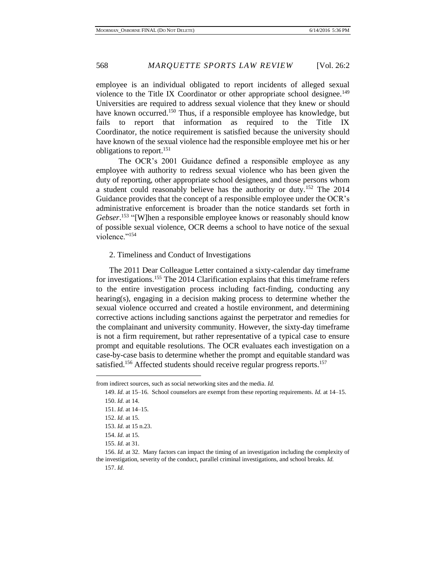employee is an individual obligated to report incidents of alleged sexual violence to the Title IX Coordinator or other appropriate school designee.<sup>149</sup> Universities are required to address sexual violence that they knew or should have known occurred.<sup>150</sup> Thus, if a responsible employee has knowledge, but fails to report that information as required to the Title IX Coordinator, the notice requirement is satisfied because the university should have known of the sexual violence had the responsible employee met his or her obligations to report.<sup>151</sup>

The OCR's 2001 Guidance defined a responsible employee as any employee with authority to redress sexual violence who has been given the duty of reporting, other appropriate school designees, and those persons whom a student could reasonably believe has the authority or duty.<sup>152</sup> The 2014 Guidance provides that the concept of a responsible employee under the OCR's administrative enforcement is broader than the notice standards set forth in Gebser.<sup>153</sup> "[W]hen a responsible employee knows or reasonably should know of possible sexual violence, OCR deems a school to have notice of the sexual violence."<sup>154</sup>

2. Timeliness and Conduct of Investigations

The 2011 Dear Colleague Letter contained a sixty-calendar day timeframe for investigations.<sup>155</sup> The 2014 Clarification explains that this timeframe refers to the entire investigation process including fact-finding, conducting any hearing(s), engaging in a decision making process to determine whether the sexual violence occurred and created a hostile environment, and determining corrective actions including sanctions against the perpetrator and remedies for the complainant and university community. However, the sixty-day timeframe is not a firm requirement, but rather representative of a typical case to ensure prompt and equitable resolutions. The OCR evaluates each investigation on a case-by-case basis to determine whether the prompt and equitable standard was satisfied.<sup>156</sup> Affected students should receive regular progress reports.<sup>157</sup>

from indirect sources, such as social networking sites and the media. *Id.*

<sup>149.</sup> *Id.* at 15–16. School counselors are exempt from these reporting requirements. *Id.* at 14–15. 150. *Id.* at 14.

<sup>151.</sup> *Id.* at 14–15.

<sup>152.</sup> *Id.* at 15.

<sup>153.</sup> *Id.* at 15 n.23.

<sup>154.</sup> *Id.* at 15.

<sup>155.</sup> *Id.* at 31.

<sup>156.</sup> *Id.* at 32. Many factors can impact the timing of an investigation including the complexity of the investigation, severity of the conduct, parallel criminal investigations, and school breaks. *Id.* 157. *Id.*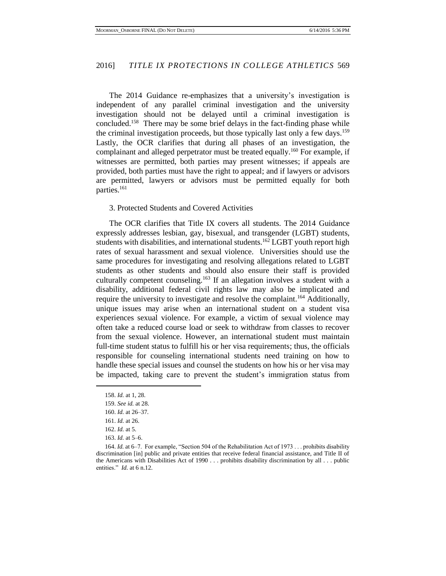The 2014 Guidance re-emphasizes that a university's investigation is independent of any parallel criminal investigation and the university investigation should not be delayed until a criminal investigation is concluded.<sup>158</sup> There may be some brief delays in the fact-finding phase while the criminal investigation proceeds, but those typically last only a few days.<sup>159</sup> Lastly, the OCR clarifies that during all phases of an investigation, the complainant and alleged perpetrator must be treated equally.<sup>160</sup> For example, if witnesses are permitted, both parties may present witnesses; if appeals are provided, both parties must have the right to appeal; and if lawyers or advisors are permitted, lawyers or advisors must be permitted equally for both parties.<sup>161</sup>

#### 3. Protected Students and Covered Activities

The OCR clarifies that Title IX covers all students. The 2014 Guidance expressly addresses lesbian, gay, bisexual, and transgender (LGBT) students, students with disabilities, and international students.<sup>162</sup> LGBT youth report high rates of sexual harassment and sexual violence. Universities should use the same procedures for investigating and resolving allegations related to LGBT students as other students and should also ensure their staff is provided culturally competent counseling.<sup>163</sup> If an allegation involves a student with a disability, additional federal civil rights law may also be implicated and require the university to investigate and resolve the complaint.<sup>164</sup> Additionally, unique issues may arise when an international student on a student visa experiences sexual violence. For example, a victim of sexual violence may often take a reduced course load or seek to withdraw from classes to recover from the sexual violence. However, an international student must maintain full-time student status to fulfill his or her visa requirements; thus, the officials responsible for counseling international students need training on how to handle these special issues and counsel the students on how his or her visa may be impacted, taking care to prevent the student's immigration status from

<sup>158.</sup> *Id.* at 1, 28.

<sup>159.</sup> *See id.* at 28.

<sup>160.</sup> *Id.* at 26–37.

<sup>161.</sup> *Id.* at 26.

<sup>162.</sup> *Id.* at 5.

<sup>163.</sup> *Id.* at 5–6.

<sup>164.</sup> *Id.* at 6–7. For example, "Section 504 of the Rehabilitation Act of 1973 . . . prohibits disability discrimination [in] public and private entities that receive federal financial assistance, and Title II of the Americans with Disabilities Act of 1990 . . . prohibits disability discrimination by all . . . public entities." *Id.* at 6 n.12.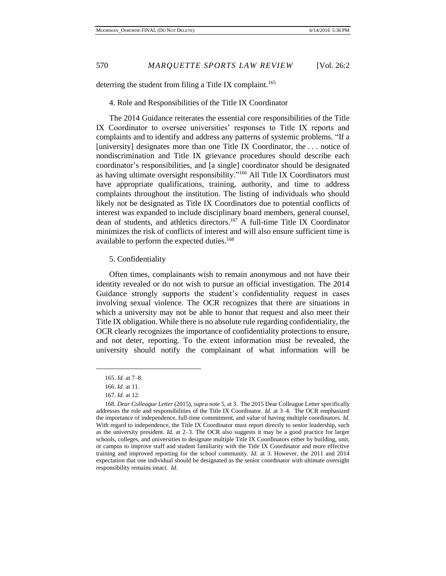deterring the student from filing a Title IX complaint.<sup>165</sup>

#### 4. Role and Responsibilities of the Title IX Coordinator

The 2014 Guidance reiterates the essential core responsibilities of the Title IX Coordinator to oversee universities' responses to Title IX reports and complaints and to identify and address any patterns of systemic problems. "If a [university] designates more than one Title IX Coordinator, the . . . notice of nondiscrimination and Title IX grievance procedures should describe each coordinator's responsibilities, and [a single] coordinator should be designated as having ultimate oversight responsibility."<sup>166</sup> All Title IX Coordinators must have appropriate qualifications, training, authority, and time to address complaints throughout the institution. The listing of individuals who should likely not be designated as Title IX Coordinators due to potential conflicts of interest was expanded to include disciplinary board members, general counsel, dean of students, and athletics directors. <sup>167</sup> A full-time Title IX Coordinator minimizes the risk of conflicts of interest and will also ensure sufficient time is available to perform the expected duties.<sup>168</sup>

#### 5. Confidentiality

Often times, complainants wish to remain anonymous and not have their identity revealed or do not wish to pursue an official investigation. The 2014 Guidance strongly supports the student's confidentiality request in cases involving sexual violence. The OCR recognizes that there are situations in which a university may not be able to honor that request and also meet their Title IX obligation. While there is no absolute rule regarding confidentiality, the OCR clearly recognizes the importance of confidentiality protections to ensure, and not deter, reporting. To the extent information must be revealed, the university should notify the complainant of what information will be

<sup>165.</sup> *Id.* at 7–8.

<sup>166.</sup> *Id.* at 11.

<sup>167.</sup> *Id.* at 12.

<sup>168.</sup> *Dear Colleague Letter* (2015), *supra* note 5, at 3. The 2015 Dear Colleague Letter specifically addresses the role and responsibilities of the Title IX Coordinator. *Id.* at 3–4.The OCR emphasized the importance of independence, full-time commitment, and value of having multiple coordinators. *Id.* With regard to independence, the Title IX Coordinator must report directly to senior leadership, such as the university president. *Id.* at 2–3. The OCR also suggests it may be a good practice for larger schools, colleges, and universities to designate multiple Title IX Coordinators either by building, unit, or campus to improve staff and student familiarity with the Title IX Coordinator and more effective training and improved reporting for the school community. *Id.* at 3. However, the 2011 and 2014 expectation that one individual should be designated as the senior coordinator with ultimate oversight responsibility remains intact. *Id.*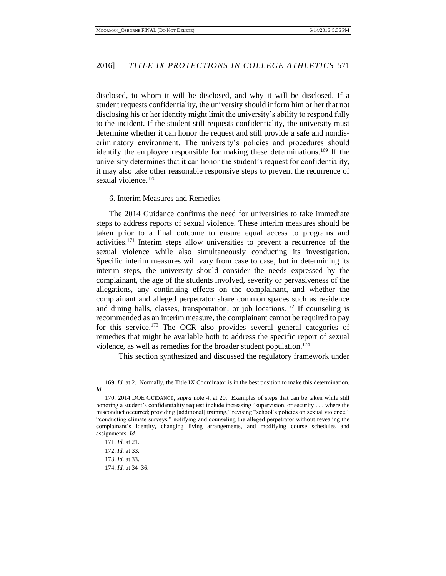disclosed, to whom it will be disclosed, and why it will be disclosed. If a student requests confidentiality, the university should inform him or her that not disclosing his or her identity might limit the university's ability to respond fully to the incident. If the student still requests confidentiality, the university must determine whether it can honor the request and still provide a safe and nondiscriminatory environment. The university's policies and procedures should identify the employee responsible for making these determinations.<sup>169</sup> If the university determines that it can honor the student's request for confidentiality, it may also take other reasonable responsive steps to prevent the recurrence of sexual violence.<sup>170</sup>

#### 6. Interim Measures and Remedies

The 2014 Guidance confirms the need for universities to take immediate steps to address reports of sexual violence. These interim measures should be taken prior to a final outcome to ensure equal access to programs and activities.<sup>171</sup> Interim steps allow universities to prevent a recurrence of the sexual violence while also simultaneously conducting its investigation. Specific interim measures will vary from case to case, but in determining its interim steps, the university should consider the needs expressed by the complainant, the age of the students involved, severity or pervasiveness of the allegations, any continuing effects on the complainant, and whether the complainant and alleged perpetrator share common spaces such as residence and dining halls, classes, transportation, or job locations. <sup>172</sup> If counseling is recommended as an interim measure, the complainant cannot be required to pay for this service.<sup>173</sup> The OCR also provides several general categories of remedies that might be available both to address the specific report of sexual violence, as well as remedies for the broader student population.<sup>174</sup>

This section synthesized and discussed the regulatory framework under

<sup>169.</sup> *Id.* at 2. Normally, the Title IX Coordinator is in the best position to make this determination. *Id.*

<sup>170. 2014</sup> DOE GUIDANCE, *supra* note 4, at 20. Examples of steps that can be taken while still honoring a student's confidentiality request include increasing "supervision, or security . . . where the misconduct occurred; providing [additional] training," revising "school's policies on sexual violence," "conducting climate surveys," notifying and counseling the alleged perpetrator without revealing the complainant's identity, changing living arrangements, and modifying course schedules and assignments. *Id.*

<sup>171.</sup> *Id.* at 21.

<sup>172.</sup> *Id.* at 33.

<sup>173.</sup> *Id.* at 33.

<sup>174.</sup> *Id.* at 34–36.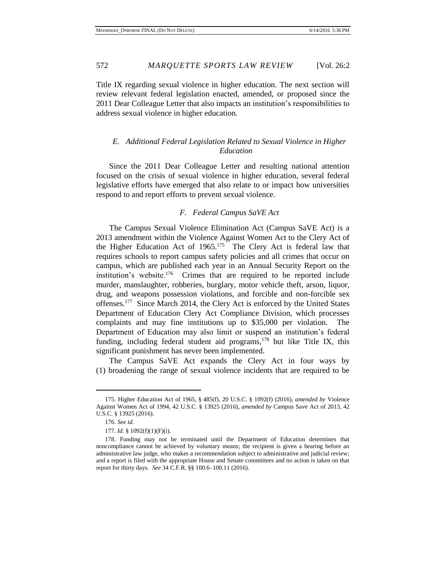572 *MARQUETTE SPORTS LAW REVIEW* [Vol. 26:2

Title IX regarding sexual violence in higher education. The next section will review relevant federal legislation enacted, amended, or proposed since the 2011 Dear Colleague Letter that also impacts an institution's responsibilities to address sexual violence in higher education.

#### *E. Additional Federal Legislation Related to Sexual Violence in Higher Education*

Since the 2011 Dear Colleague Letter and resulting national attention focused on the crisis of sexual violence in higher education, several federal legislative efforts have emerged that also relate to or impact how universities respond to and report efforts to prevent sexual violence.

#### *F. Federal Campus SaVE Act*

The Campus Sexual Violence Elimination Act (Campus SaVE Act) is a 2013 amendment within the Violence Against Women Act to the Clery Act of the Higher Education Act of  $1965$ .<sup>175</sup> The Clery Act is federal law that requires schools to report campus safety policies and all crimes that occur on campus, which are published each year in an Annual Security Report on the institution's website.<sup>176</sup> Crimes that are required to be reported include murder, manslaughter, robberies, burglary, motor vehicle theft, arson, liquor, drug, and weapons possession violations, and forcible and non-forcible sex offenses.<sup>177</sup> Since March 2014, the Clery Act is enforced by the United States Department of Education Clery Act Compliance Division, which processes complaints and may fine institutions up to \$35,000 per violation. The Department of Education may also limit or suspend an institution's federal funding, including federal student aid programs, $178$  but like Title IX, this significant punishment has never been implemented.

The Campus SaVE Act expands the Clery Act in four ways by (1) broadening the range of sexual violence incidents that are required to be

<sup>175.</sup> Higher Education Act of 1965, § 485(f), 20 U.S.C. § 1092(f) (2016), *amended by* Violence Against Women Act of 1994, 42 U.S.C. § 13925 (2016), *amended by* Campus Save Act of 2013, 42 U.S.C. § 13925 (2016).

<sup>176.</sup> *See id.*

<sup>177.</sup> *Id.* § 1092(f)(1)(F)(i).

<sup>178.</sup> Funding may not be terminated until the Department of Education determines that noncompliance cannot be achieved by voluntary means; the recipient is given a hearing before an administrative law judge, who makes a recommendation subject to administrative and judicial review; and a report is filed with the appropriate House and Senate committees and no action is taken on that report for thirty days. *See* 34 C.F.R. §§ 100.6–100.11 (2016).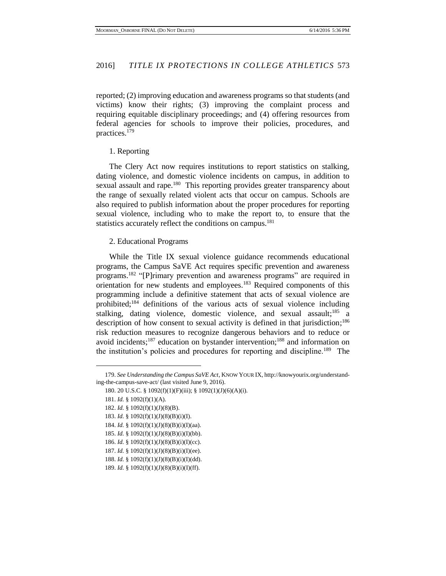reported; (2) improving education and awareness programs so that students (and victims) know their rights; (3) improving the complaint process and requiring equitable disciplinary proceedings; and (4) offering resources from federal agencies for schools to improve their policies, procedures, and practices.<sup>179</sup>

#### 1. Reporting

The Clery Act now requires institutions to report statistics on stalking, dating violence, and domestic violence incidents on campus, in addition to sexual assault and rape.<sup>180</sup> This reporting provides greater transparency about the range of sexually related violent acts that occur on campus. Schools are also required to publish information about the proper procedures for reporting sexual violence, including who to make the report to, to ensure that the statistics accurately reflect the conditions on campus.<sup>181</sup>

#### 2. Educational Programs

While the Title IX sexual violence guidance recommends educational programs, the Campus SaVE Act requires specific prevention and awareness programs.<sup>182</sup> "[P]rimary prevention and awareness programs" are required in orientation for new students and employees.<sup>183</sup> Required components of this programming include a definitive statement that acts of sexual violence are prohibited; <sup>184</sup> definitions of the various acts of sexual violence including stalking, dating violence, domestic violence, and sexual assault;<sup>185</sup> a description of how consent to sexual activity is defined in that jurisdiction;<sup>186</sup> risk reduction measures to recognize dangerous behaviors and to reduce or avoid incidents; <sup>187</sup> education on bystander intervention; <sup>188</sup> and information on the institution's policies and procedures for reporting and discipline.<sup>189</sup> The

<sup>179.</sup> *See Understanding the Campus SaVE Act*, KNOW YOUR IX, http://knowyourix.org/understanding-the-campus-save-act/ (last visited June 9, 2016).

<sup>180. 20</sup> U.S.C. § 1092(f)(1)(F)(iii); § 1092(1)(J)(6)(A)(i).

<sup>181.</sup> *Id.* § 1092(f)(1)(A).

<sup>182.</sup> *Id.* § 1092(f)(1)(J)(8)(B).

<sup>183.</sup> *Id.* § 1092(f)(1)(J)(8)(B)(i)(I).

<sup>184.</sup> *Id.* § 1092(f)(1)(J)(8)(B)(i)(I)(aa).

<sup>185.</sup> *Id.* § 1092(f)(1)(J)(8)(B)(i)(I)(bb).

<sup>186.</sup> *Id.* § 1092(f)(1)(J)(8)(B)(i)(I)(cc).

<sup>187.</sup> *Id.* § 1092(f)(1)(J)(8)(B)(i)(I)(ee).

<sup>188.</sup> *Id.* § 1092(f)(1)(J)(8)(B)(i)(I)(dd).

<sup>189.</sup> *Id.* § 1092(f)(1)(J)(8)(B)(i)(I)(ff).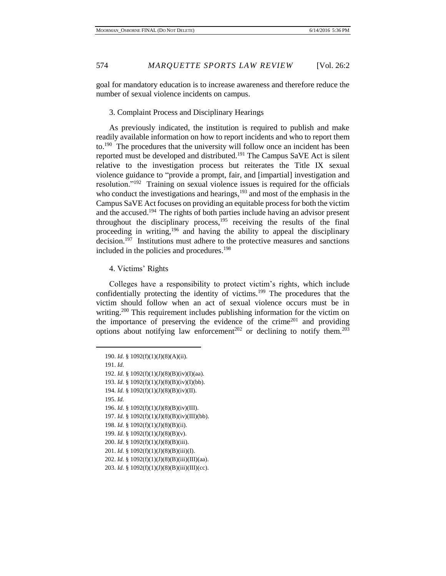goal for mandatory education is to increase awareness and therefore reduce the number of sexual violence incidents on campus.

3. Complaint Process and Disciplinary Hearings

As previously indicated, the institution is required to publish and make readily available information on how to report incidents and who to report them to.<sup>190</sup> The procedures that the university will follow once an incident has been reported must be developed and distributed.<sup>191</sup> The Campus SaVE Act is silent relative to the investigation process but reiterates the Title IX sexual violence guidance to "provide a prompt, fair, and [impartial] investigation and resolution."<sup>192</sup> Training on sexual violence issues is required for the officials who conduct the investigations and hearings, $193$  and most of the emphasis in the Campus SaVE Act focuses on providing an equitable process for both the victim and the accused.<sup>194</sup> The rights of both parties include having an advisor present throughout the disciplinary process,  $195$  receiving the results of the final proceeding in writing,<sup>196</sup> and having the ability to appeal the disciplinary decision.<sup>197</sup> Institutions must adhere to the protective measures and sanctions included in the policies and procedures.<sup>198</sup>

4. Victims' Rights

Colleges have a responsibility to protect victim's rights, which include confidentially protecting the identity of victims.<sup>199</sup> The procedures that the victim should follow when an act of sexual violence occurs must be in writing.<sup>200</sup> This requirement includes publishing information for the victim on the importance of preserving the evidence of the crime<sup>201</sup> and providing options about notifying law enforcement<sup>202</sup> or declining to notify them.<sup>203</sup>

- 194. *Id.* § 1092(f)(1)(J)(8)(B)(iv)(II).
- 195. *Id.*
- 196. *Id.* § 1092(f)(1)(J)(8)(B)(iv)(III).
- 197. *Id.* § 1092(f)(1)(J)(8)(B)(iv)(III)(bb).
- 198. *Id.* § 1092(f)(1)(J)(8)(B)(ii).
- 199. *Id.* § 1092(f)(1)(J)(8)(B)(v).
- 200. *Id.* § 1092(f)(1)(J)(8)(B)(iii).
- 201. *Id.* § 1092(f)(1)(J)(8)(B)(iii)(I).
- 202. *Id.* § 1092(f)(1)(J)(8)(B)(iii)(III)(aa).
- 203. *Id.* § 1092(f)(1)(J)(8)(B)(iii)(III)(cc).

<sup>190.</sup> *Id.* § 1092(f)(1)(J)(8)(A)(ii).

<sup>191.</sup> *Id.*

<sup>192.</sup> *Id.* § 1092(f)(1)(J)(8)(B)(iv)(I)(aa).

<sup>193.</sup> *Id.* § 1092(f)(1)(J)(8)(B)(iv)(I)(bb).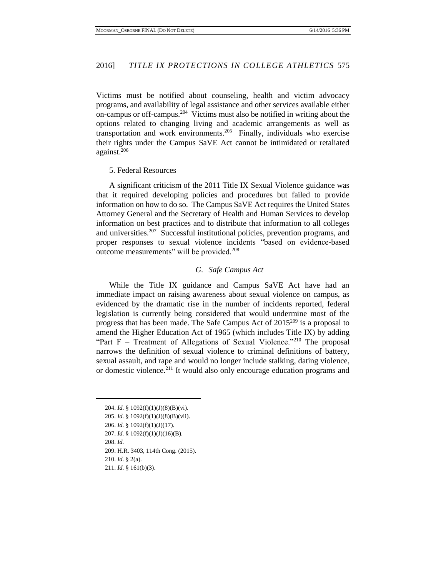Victims must be notified about counseling, health and victim advocacy programs, and availability of legal assistance and other services available either on-campus or off-campus. $204$  Victims must also be notified in writing about the options related to changing living and academic arrangements as well as transportation and work environments.<sup>205</sup> Finally, individuals who exercise their rights under the Campus SaVE Act cannot be intimidated or retaliated against.<sup>206</sup>

#### 5. Federal Resources

A significant criticism of the 2011 Title IX Sexual Violence guidance was that it required developing policies and procedures but failed to provide information on how to do so. The Campus SaVE Act requires the United States Attorney General and the Secretary of Health and Human Services to develop information on best practices and to distribute that information to all colleges and universities.<sup>207</sup> Successful institutional policies, prevention programs, and proper responses to sexual violence incidents "based on evidence-based outcome measurements" will be provided.<sup>208</sup>

#### *G. Safe Campus Act*

While the Title IX guidance and Campus SaVE Act have had an immediate impact on raising awareness about sexual violence on campus, as evidenced by the dramatic rise in the number of incidents reported, federal legislation is currently being considered that would undermine most of the progress that has been made. The Safe Campus Act of  $2015^{209}$  is a proposal to amend the Higher Education Act of 1965 (which includes Title IX) by adding "Part F – Treatment of Allegations of Sexual Violence."<sup>210</sup> The proposal narrows the definition of sexual violence to criminal definitions of battery, sexual assault, and rape and would no longer include stalking, dating violence, or domestic violence.<sup>211</sup> It would also only encourage education programs and

<sup>204.</sup> *Id.* § 1092(f)(1)(J)(8)(B)(vi). 205. *Id.* § 1092(f)(1)(J)(8)(B)(vii). 206. *Id.* § 1092(f)(1)(J)(17). 207. *Id.* § 1092(f)(1)(J)(16)(B). 208. *Id.* 209. H.R. 3403, 114th Cong. (2015). 210. *Id.* § 2(a). 211. *Id.* § 161(b)(3).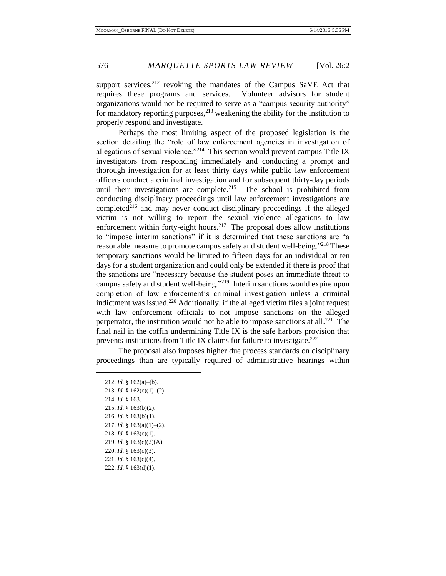support services, $2^{12}$  revoking the mandates of the Campus SaVE Act that requires these programs and services. Volunteer advisors for student organizations would not be required to serve as a "campus security authority" for mandatory reporting purposes,  $2^{13}$  weakening the ability for the institution to properly respond and investigate.

Perhaps the most limiting aspect of the proposed legislation is the section detailing the "role of law enforcement agencies in investigation of allegations of sexual violence."<sup>214</sup> This section would prevent campus Title IX investigators from responding immediately and conducting a prompt and thorough investigation for at least thirty days while public law enforcement officers conduct a criminal investigation and for subsequent thirty-day periods until their investigations are complete.<sup>215</sup> The school is prohibited from conducting disciplinary proceedings until law enforcement investigations are completed<sup>216</sup> and may never conduct disciplinary proceedings if the alleged victim is not willing to report the sexual violence allegations to law enforcement within forty-eight hours.<sup>217</sup> The proposal does allow institutions to "impose interim sanctions" if it is determined that these sanctions are "a reasonable measure to promote campus safety and student well-being.<sup>"218</sup> These temporary sanctions would be limited to fifteen days for an individual or ten days for a student organization and could only be extended if there is proof that the sanctions are "necessary because the student poses an immediate threat to campus safety and student well-being."<sup>219</sup> Interim sanctions would expire upon completion of law enforcement's criminal investigation unless a criminal indictment was issued.<sup>220</sup> Additionally, if the alleged victim files a joint request with law enforcement officials to not impose sanctions on the alleged perpetrator, the institution would not be able to impose sanctions at all.<sup>221</sup> The final nail in the coffin undermining Title IX is the safe harbors provision that prevents institutions from Title IX claims for failure to investigate.<sup>222</sup>

The proposal also imposes higher due process standards on disciplinary proceedings than are typically required of administrative hearings within

 $\overline{a}$ 

222. *Id.* § 163(d)(1).

<sup>212.</sup> *Id.* § 162(a)–(b).

<sup>213.</sup> *Id.* § 162(c)(1)–(2).

<sup>214.</sup> *Id.* § 163. 215. *Id.* § 163(b)(2). 216. *Id.* § 163(b)(1).

<sup>217.</sup> *Id.* § 163(a)(1)–(2).

<sup>218.</sup> *Id.* § 163(c)(1).

<sup>219.</sup> *Id.* § 163(c)(2)(A).

<sup>220.</sup> *Id.* § 163(c)(3).

<sup>221.</sup> *Id.* § 163(c)(4).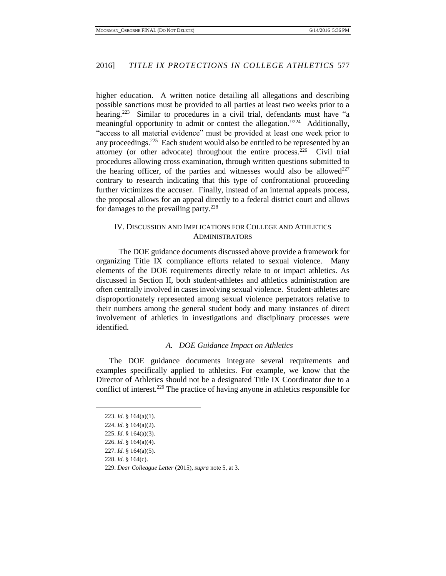higher education. A written notice detailing all allegations and describing possible sanctions must be provided to all parties at least two weeks prior to a hearing.<sup>223</sup> Similar to procedures in a civil trial, defendants must have "a meaningful opportunity to admit or contest the allegation."<sup>224</sup> Additionally, "access to all material evidence" must be provided at least one week prior to any proceedings.<sup>225</sup> Each student would also be entitled to be represented by an attorney (or other advocate) throughout the entire process.<sup>226</sup> Civil trial procedures allowing cross examination, through written questions submitted to the hearing officer, of the parties and witnesses would also be allowed<sup>227</sup> contrary to research indicating that this type of confrontational proceeding further victimizes the accuser. Finally, instead of an internal appeals process, the proposal allows for an appeal directly to a federal district court and allows for damages to the prevailing party.<sup>228</sup>

#### IV. DISCUSSION AND IMPLICATIONS FOR COLLEGE AND ATHLETICS ADMINISTRATORS

The DOE guidance documents discussed above provide a framework for organizing Title IX compliance efforts related to sexual violence. Many elements of the DOE requirements directly relate to or impact athletics. As discussed in Section II, both student-athletes and athletics administration are often centrally involved in cases involving sexual violence. Student-athletes are disproportionately represented among sexual violence perpetrators relative to their numbers among the general student body and many instances of direct involvement of athletics in investigations and disciplinary processes were identified.

#### *A. DOE Guidance Impact on Athletics*

The DOE guidance documents integrate several requirements and examples specifically applied to athletics. For example, we know that the Director of Athletics should not be a designated Title IX Coordinator due to a conflict of interest.<sup>229</sup> The practice of having anyone in athletics responsible for

<sup>223.</sup> *Id.* § 164(a)(1).

<sup>224.</sup> *Id.* § 164(a)(2).

<sup>225.</sup> *Id.* § 164(a)(3).

<sup>226.</sup> *Id.* § 164(a)(4).

<sup>227.</sup> *Id.* § 164(a)(5).

<sup>228.</sup> *Id.* § 164(c).

<sup>229.</sup> *Dear Colleague Letter* (2015), *supra* note 5, at 3.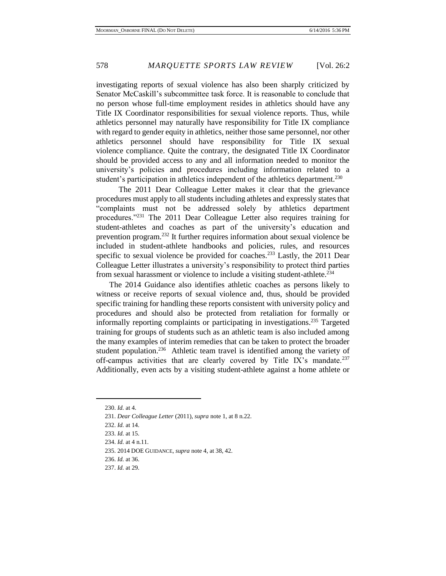investigating reports of sexual violence has also been sharply criticized by Senator McCaskill's subcommittee task force. It is reasonable to conclude that no person whose full-time employment resides in athletics should have any Title IX Coordinator responsibilities for sexual violence reports. Thus, while athletics personnel may naturally have responsibility for Title IX compliance with regard to gender equity in athletics, neither those same personnel, nor other athletics personnel should have responsibility for Title IX sexual violence compliance. Quite the contrary, the designated Title IX Coordinator should be provided access to any and all information needed to monitor the university's policies and procedures including information related to a student's participation in athletics independent of the athletics department.<sup>230</sup>

The 2011 Dear Colleague Letter makes it clear that the grievance procedures must apply to all students including athletes and expressly states that "complaints must not be addressed solely by athletics department procedures."<sup>231</sup> The 2011 Dear Colleague Letter also requires training for student-athletes and coaches as part of the university's education and prevention program.<sup>232</sup> It further requires information about sexual violence be included in student-athlete handbooks and policies, rules, and resources specific to sexual violence be provided for coaches.<sup>233</sup> Lastly, the 2011 Dear Colleague Letter illustrates a university's responsibility to protect third parties from sexual harassment or violence to include a visiting student-athlete.<sup>234</sup>

The 2014 Guidance also identifies athletic coaches as persons likely to witness or receive reports of sexual violence and, thus, should be provided specific training for handling these reports consistent with university policy and procedures and should also be protected from retaliation for formally or informally reporting complaints or participating in investigations.<sup>235</sup> Targeted training for groups of students such as an athletic team is also included among the many examples of interim remedies that can be taken to protect the broader student population.<sup>236</sup> Athletic team travel is identified among the variety of off-campus activities that are clearly covered by Title IX's mandate.<sup>237</sup> Additionally, even acts by a visiting student-athlete against a home athlete or

<sup>230.</sup> *Id.* at 4.

<sup>231.</sup> *Dear Colleague Letter* (2011), *supra* note 1, at 8 n.22.

<sup>232.</sup> *Id.* at 14.

<sup>233.</sup> *Id.* at 15.

<sup>234.</sup> *Id.* at 4 n.11.

<sup>235. 2014</sup> DOE GUIDANCE, *supra* note 4, at 38, 42.

<sup>236.</sup> *Id.* at 36.

<sup>237.</sup> *Id.* at 29.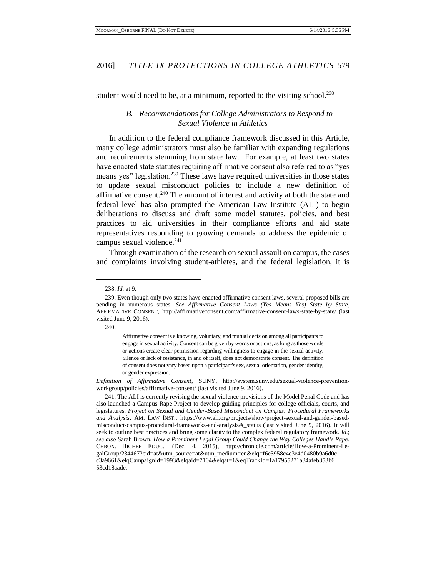student would need to be, at a minimum, reported to the visiting school.<sup>238</sup>

#### *B. Recommendations for College Administrators to Respond to Sexual Violence in Athletics*

In addition to the federal compliance framework discussed in this Article, many college administrators must also be familiar with expanding regulations and requirements stemming from state law. For example, at least two states have enacted state statutes requiring affirmative consent also referred to as "yes means yes" legislation.<sup>239</sup> These laws have required universities in those states to update sexual misconduct policies to include a new definition of affirmative consent.<sup>240</sup> The amount of interest and activity at both the state and federal level has also prompted the American Law Institute (ALI) to begin deliberations to discuss and draft some model statutes, policies, and best practices to aid universities in their compliance efforts and aid state representatives responding to growing demands to address the epidemic of campus sexual violence.<sup>241</sup>

Through examination of the research on sexual assault on campus, the cases and complaints involving student-athletes, and the federal legislation, it is

240.

 $\overline{a}$ 

*Definition of Affirmative Consent*, SUNY, http://system.suny.edu/sexual-violence-preventionworkgroup/policies/affirmative-consent/ (last visited June 9, 2016).

<sup>238.</sup> *Id.* at 9.

<sup>239.</sup> Even though only two states have enacted affirmative consent laws, several proposed bills are pending in numerous states. *See Affirmative Consent Laws (Yes Means Yes) State by State*, AFFIRMATIVE CONSENT, http://affirmativeconsent.com/affirmative-consent-laws-state-by-state/ (last visited June 9, 2016).

Affirmative consent is a knowing, voluntary, and mutual decision among all participants to engage in sexual activity. Consent can be given by words or actions, as long as those words or actions create clear permission regarding willingness to engage in the sexual activity. Silence or lack of resistance, in and of itself, does not demonstrate consent. The definition of consent does not vary based upon a participant's sex, sexual orientation, gender identity, or gender expression.

<sup>241.</sup> The ALI is currently revising the sexual violence provisions of the Model Penal Code and has also launched a Campus Rape Project to develop guiding principles for college officials, courts, and legislatures. *Project on Sexual and Gender-Based Misconduct on Campus: Procedural Frameworks and Analysis*, AM. LAW INST., https://www.ali.org/projects/show/project-sexual-and-gender-basedmisconduct-campus-procedural-frameworks-and-analysis/#\_status (last visited June 9, 2016). It will seek to outline best practices and bring some clarity to the complex federal regulatory framework. *Id.*; *see also* Sarah Brown, *How a Prominent Legal Group Could Change the Way Colleges Handle Rape*, CHRON. HIGHER EDUC., (Dec. 4, 2015), http://chronicle.com/article/How-a-Prominent-LegalGroup/234467?cid=at&utm\_source=at&utm\_medium=en&elq=f6e3958c4c3e4d0480b9a6d0c c3a9661&elqCampaignId=1993&elqaid=7104&elqat=1&eqTrackId=1a17955271a34afeb353b6 53cd18aade.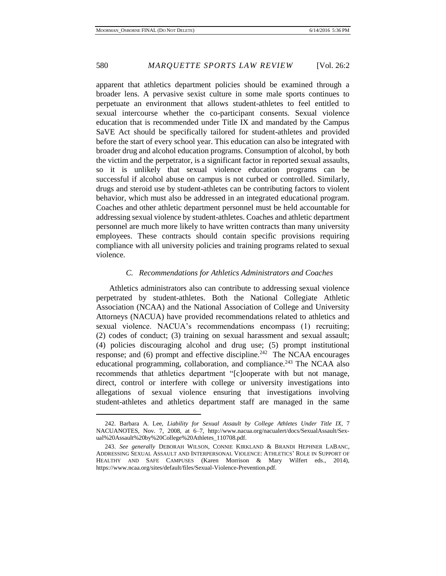apparent that athletics department policies should be examined through a broader lens. A pervasive sexist culture in some male sports continues to perpetuate an environment that allows student-athletes to feel entitled to sexual intercourse whether the co-participant consents. Sexual violence education that is recommended under Title IX and mandated by the Campus SaVE Act should be specifically tailored for student-athletes and provided before the start of every school year. This education can also be integrated with broader drug and alcohol education programs. Consumption of alcohol, by both the victim and the perpetrator, is a significant factor in reported sexual assaults, so it is unlikely that sexual violence education programs can be successful if alcohol abuse on campus is not curbed or controlled. Similarly, drugs and steroid use by student-athletes can be contributing factors to violent behavior, which must also be addressed in an integrated educational program. Coaches and other athletic department personnel must be held accountable for addressing sexual violence by student-athletes. Coaches and athletic department personnel are much more likely to have written contracts than many university employees. These contracts should contain specific provisions requiring compliance with all university policies and training programs related to sexual violence.

#### *C. Recommendations for Athletics Administrators and Coaches*

Athletics administrators also can contribute to addressing sexual violence perpetrated by student-athletes. Both the National Collegiate Athletic Association (NCAA) and the National Association of College and University Attorneys (NACUA) have provided recommendations related to athletics and sexual violence. NACUA's recommendations encompass (1) recruiting; (2) codes of conduct; (3) training on sexual harassment and sexual assault; (4) policies discouraging alcohol and drug use; (5) prompt institutional response; and  $(6)$  prompt and effective discipline.<sup>242</sup> The NCAA encourages educational programming, collaboration, and compliance.<sup>243</sup> The NCAA also recommends that athletics department "[c]ooperate with but not manage, direct, control or interfere with college or university investigations into allegations of sexual violence ensuring that investigations involving student-athletes and athletics department staff are managed in the same

<sup>242.</sup> Barbara A. Lee, *Liability for Sexual Assault by College Athletes Under Title IX*, 7 NACUANOTES, Nov. 7, 2008, at 6–7, http://www.nacua.org/nacualert/docs/SexualAssault/Sexual%20Assault%20by%20College%20Athletes\_110708.pdf.

<sup>243.</sup> *See generally* DEBORAH WILSON, CONNIE KIRKLAND & BRANDI HEPHNER LABANC, ADDRESSING SEXUAL ASSAULT AND INTERPERSONAL VIOLENCE: ATHLETICS' ROLE IN SUPPORT OF HEALTHY AND SAFE CAMPUSES (Karen Morrison & Mary Wilfert eds., 2014), https://www.ncaa.org/sites/default/files/Sexual-Violence-Prevention.pdf.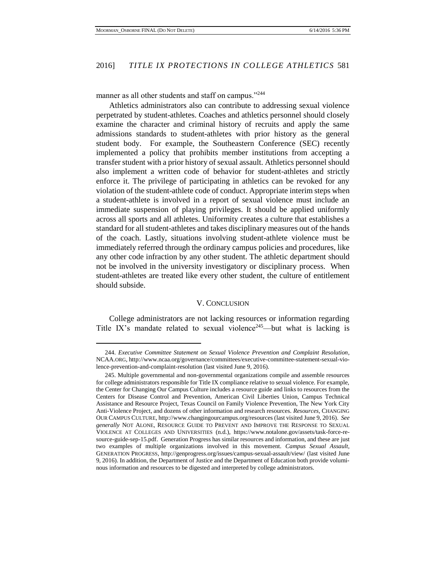manner as all other students and staff on campus."<sup>244</sup>

Athletics administrators also can contribute to addressing sexual violence perpetrated by student-athletes. Coaches and athletics personnel should closely examine the character and criminal history of recruits and apply the same admissions standards to student-athletes with prior history as the general student body. For example, the Southeastern Conference (SEC) recently implemented a policy that prohibits member institutions from accepting a transfer student with a prior history of sexual assault. Athletics personnel should also implement a written code of behavior for student-athletes and strictly enforce it. The privilege of participating in athletics can be revoked for any violation of the student-athlete code of conduct. Appropriate interim steps when a student-athlete is involved in a report of sexual violence must include an immediate suspension of playing privileges. It should be applied uniformly across all sports and all athletes. Uniformity creates a culture that establishes a standard for all student-athletes and takes disciplinary measures out of the hands of the coach. Lastly, situations involving student-athlete violence must be immediately referred through the ordinary campus policies and procedures, like any other code infraction by any other student. The athletic department should not be involved in the university investigatory or disciplinary process. When student-athletes are treated like every other student, the culture of entitlement should subside.

#### V. CONCLUSION

College administrators are not lacking resources or information regarding Title IX's mandate related to sexual violence<sup>245</sup>—but what is lacking is

<sup>244.</sup> *Executive Committee Statement on Sexual Violence Prevention and Complaint Resolution*, NCAA.ORG, http://www.ncaa.org/governance/committees/executive-committee-statement-sexual-violence-prevention-and-complaint-resolution (last visited June 9, 2016).

<sup>245.</sup> Multiple governmental and non-governmental organizations compile and assemble resources for college administrators responsible for Title IX compliance relative to sexual violence. For example, the Center for Changing Our Campus Culture includes a resource guide and links to resources from the Centers for Disease Control and Prevention, American Civil Liberties Union, Campus Technical Assistance and Resource Project, Texas Council on Family Violence Prevention, The New York City Anti-Violence Project, and dozens of other information and research resources. *Resources*, CHANGING OUR CAMPUS CULTURE, http://www.changingourcampus.org/resources (last visited June 9, 2016). *See generally* NOT ALONE, RESOURCE GUIDE TO PREVENT AND IMPROVE THE RESPONSE TO SEXUAL VIOLENCE AT COLLEGES AND UNIVERSITIES (n.d.), https://www.notalone.gov/assets/task-force-resource-guide-sep-15.pdf. Generation Progress has similar resources and information, and these are just two examples of multiple organizations involved in this movement. *Campus Sexual Assault*, GENERATION PROGRESS, http://genprogress.org/issues/campus-sexual-assault/view/ (last visited June 9, 2016). In addition, the Department of Justice and the Department of Education both provide voluminous information and resources to be digested and interpreted by college administrators.